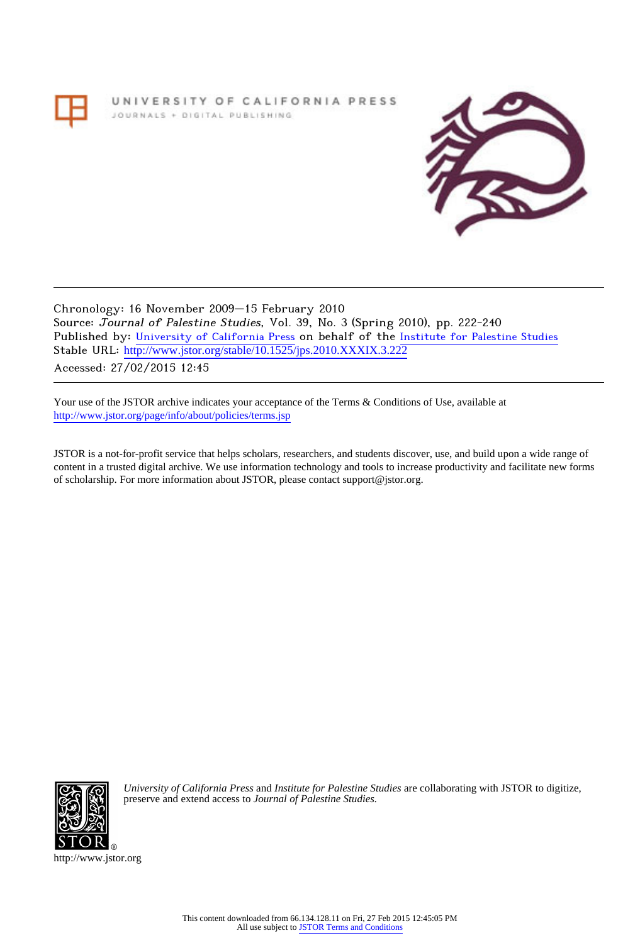UNIVERSITY OF CALIFORNIA PRESS JOURNALS + DIGITAL PUBLISHING



Chronology: 16 November 2009–15 February 2010 Source: Journal of Palestine Studies, Vol. 39, No. 3 (Spring 2010), pp. 222-240 Published by: [University of California Press](http://www.jstor.org/action/showPublisher?publisherCode=ucal) on behalf of the [Institute for Palestine Studies](http://www.jstor.org/action/showPublisher?publisherCode=palstud) Stable URL: http://www.jstor.org/stable/10.1525/jps.2010.XXXIX.3.222 Accessed: 27/02/2015 12:45

Your use of the JSTOR archive indicates your acceptance of the Terms & Conditions of Use, available at <http://www.jstor.org/page/info/about/policies/terms.jsp>

JSTOR is a not-for-profit service that helps scholars, researchers, and students discover, use, and build upon a wide range of content in a trusted digital archive. We use information technology and tools to increase productivity and facilitate new forms of scholarship. For more information about JSTOR, please contact support@jstor.org.



*University of California Press* and *Institute for Palestine Studies* are collaborating with JSTOR to digitize, preserve and extend access to *Journal of Palestine Studies.*

http://www.jstor.org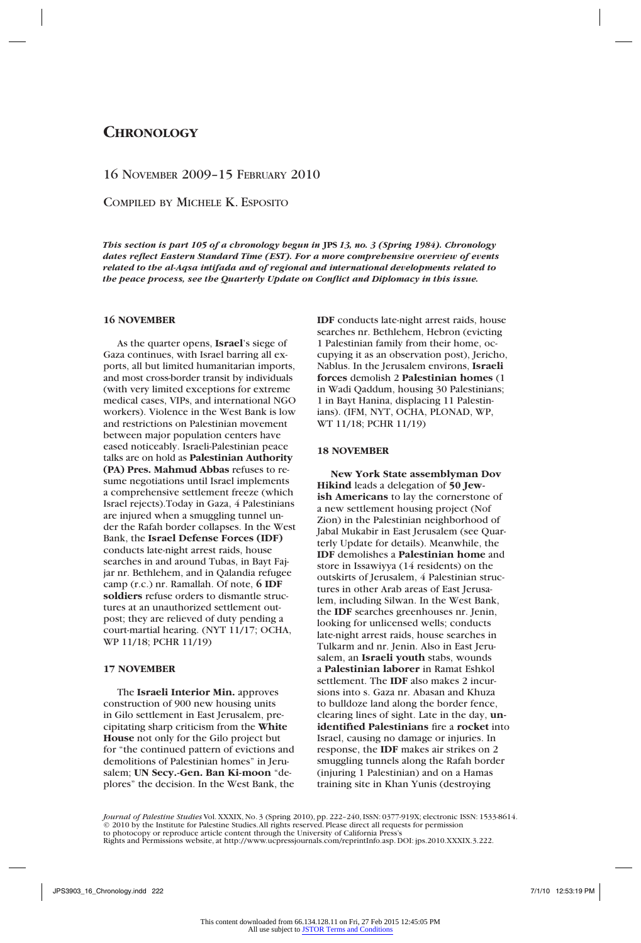# **Chronology**

# 16 November 2009–15 February 2010

Compiled by Michele K. Esposito

*This section is part 105 of a chronology begun in* **JPS** *13, no. 3 (Spring 1984). Chronology dates reflect Eastern Standard Time (EST). For a more comprehensive overview of events related to the al-Aqsa intifada and of regional and international developments related to the peace process, see the Quarterly Update on Conflict and Diplomacy in this issue.*

# **16 NOVEMBER**

As the quarter opens, **Israel**'s siege of Gaza continues, with Israel barring all exports, all but limited humanitarian imports, and most cross-border transit by individuals (with very limited exceptions for extreme medical cases, VIPs, and international NGO workers). Violence in the West Bank is low and restrictions on Palestinian movement between major population centers have eased noticeably. Israeli-Palestinian peace talks are on hold as **Palestinian Authority (PA) Pres. Mahmud Abbas** refuses to resume negotiations until Israel implements a comprehensive settlement freeze (which Israel rejects).Today in Gaza, 4 Palestinians are injured when a smuggling tunnel under the Rafah border collapses. In the West Bank, the **Israel Defense Forces (IDF)** conducts late-night arrest raids, house searches in and around Tubas, in Bayt Fajjar nr. Bethlehem, and in Qalandia refugee camp (r.c.) nr. Ramallah. Of note, **6 IDF soldiers** refuse orders to dismantle structures at an unauthorized settlement outpost; they are relieved of duty pending a court-martial hearing. (NYT 11/17; OCHA, WP 11/18; PCHR 11/19)

# **17 NOVEMBER**

The **Israeli Interior Min.** approves construction of 900 new housing units in Gilo settlement in East Jerusalem, precipitating sharp criticism from the **White House** not only for the Gilo project but for "the continued pattern of evictions and demolitions of Palestinian homes" in Jerusalem; **UN Secy.-Gen. Ban Ki-moon** "deplores" the decision. In the West Bank, the

**IDF** conducts late-night arrest raids, house searches nr. Bethlehem, Hebron (evicting 1 Palestinian family from their home, occupying it as an observation post), Jericho, Nablus. In the Jerusalem environs, **Israeli forces** demolish 2 **Palestinian homes** (1 in Wadi Qaddum, housing 30 Palestinians; 1 in Bayt Hanina, displacing 11 Palestinians). (IFM, NYT, OCHA, PLONAD, WP, WT 11/18; PCHR 11/19)

### **18 NOVEMBER**

**New York State assemblyman Dov Hikind** leads a delegation of **50 Jewish Americans** to lay the cornerstone of a new settlement housing project (Nof Zion) in the Palestinian neighborhood of Jabal Mukabir in East Jerusalem (see Quarterly Update for details). Meanwhile, the **IDF** demolishes a **Palestinian home** and store in Issawiyya (14 residents) on the outskirts of Jerusalem, 4 Palestinian structures in other Arab areas of East Jerusalem, including Silwan. In the West Bank, the **IDF** searches greenhouses nr. Jenin, looking for unlicensed wells; conducts late-night arrest raids, house searches in Tulkarm and nr. Jenin. Also in East Jerusalem, an **Israeli youth** stabs, wounds a **Palestinian laborer** in Ramat Eshkol settlement. The **IDF** also makes 2 incursions into s. Gaza nr. Abasan and Khuza to bulldoze land along the border fence, clearing lines of sight. Late in the day, **unidentified Palestinians** fire a **rocket** into Israel, causing no damage or injuries. In response, the **IDF** makes air strikes on 2 smuggling tunnels along the Rafah border (injuring 1 Palestinian) and on a Hamas training site in Khan Yunis (destroying

*Journal of Palestine Studies* Vol. XXXIX, No. 3 (Spring 2010), pp. 222–240, ISSN: 0377-919X; electronic ISSN: 1533-8614. © 2010 by the Institute for Palestine Studies. All rights reserved. Please direct all requests for permission to photocopy or reproduce article content through the University of California Press's Rights and Permissions website, at http://www.ucpressjournals.com/reprintInfo.asp. DOI: jps.2010.XXXIX.3.222.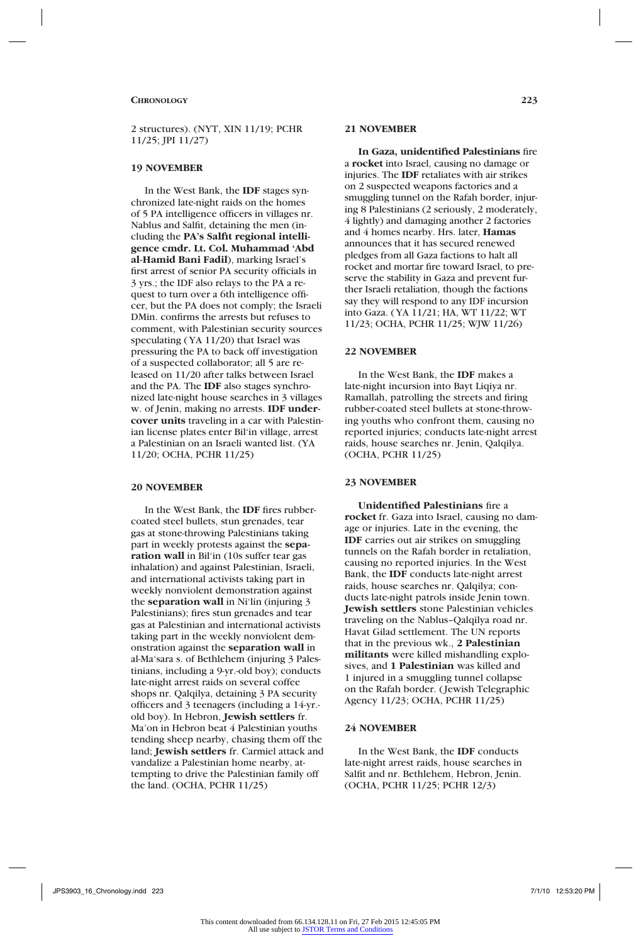2 structures). (NYT, XIN 11/19; PCHR 11/25; JPI 11/27)

#### **19 NOVEMBER**

In the West Bank, the **IDF** stages synchronized late-night raids on the homes of 5 PA intelligence officers in villages nr. Nablus and Salfit, detaining the men (including the **PA's Salfit regional intelligence cmdr. Lt. Col. Muhammad 'Abd al-Hamid Bani Fadil**), marking Israel's first arrest of senior PA security officials in 3 yrs.; the IDF also relays to the PA a request to turn over a 6th intelligence officer, but the PA does not comply; the Israeli DMin. confirms the arrests but refuses to comment, with Palestinian security sources speculating (YA 11/20) that Israel was pressuring the PA to back off investigation of a suspected collaborator; all 5 are released on 11/20 after talks between Israel and the PA. The **IDF** also stages synchronized late-night house searches in 3 villages w. of Jenin, making no arrests. **IDF undercover units** traveling in a car with Palestinian license plates enter Bil'in village, arrest a Palestinian on an Israeli wanted list. (YA 11/20; OCHA, PCHR 11/25)

#### **20 NOVEMBER**

In the West Bank, the **IDF** fires rubbercoated steel bullets, stun grenades, tear gas at stone-throwing Palestinians taking part in weekly protests against the **separation wall** in Bil'in (10s suffer tear gas inhalation) and against Palestinian, Israeli, and international activists taking part in weekly nonviolent demonstration against the **separation wall** in Ni'lin (injuring 3 Palestinians); fires stun grenades and tear gas at Palestinian and international activists taking part in the weekly nonviolent demonstration against the **separation wall** in al-Ma'sara s. of Bethlehem (injuring 3 Palestinians, including a 9-yr.-old boy); conducts late-night arrest raids on several coffee shops nr. Qalqilya, detaining 3 PA security officers and 3 teenagers (including a 14-yr. old boy). In Hebron, **Jewish settlers** fr. Ma'on in Hebron beat 4 Palestinian youths tending sheep nearby, chasing them off the land; **Jewish settlers** fr. Carmiel attack and vandalize a Palestinian home nearby, attempting to drive the Palestinian family off the land. (OCHA, PCHR 11/25)

### **21 NOVEMBER**

**In Gaza, unidentified Palestinians** fire a **rocket** into Israel, causing no damage or injuries. The **IDF** retaliates with air strikes on 2 suspected weapons factories and a smuggling tunnel on the Rafah border, injuring 8 Palestinians (2 seriously, 2 moderately, 4 lightly) and damaging another 2 factories and 4 homes nearby. Hrs. later, **Hamas** announces that it has secured renewed pledges from all Gaza factions to halt all rocket and mortar fire toward Israel, to preserve the stability in Gaza and prevent further Israeli retaliation, though the factions say they will respond to any IDF incursion into Gaza. (YA 11/21; HA, WT 11/22; WT 11/23; OCHA, PCHR 11/25; WJW 11/26)

# **22 NOVEMBER**

In the West Bank, the **IDF** makes a late-night incursion into Bayt Liqiya nr. Ramallah, patrolling the streets and firing rubber-coated steel bullets at stone-throwing youths who confront them, causing no reported injuries; conducts late-night arrest raids, house searches nr. Jenin, Qalqilya. (OCHA, PCHR 11/25)

#### **23 NOVEMBER**

**Unidentified Palestinians** fire a **rocket** fr. Gaza into Israel, causing no damage or injuries. Late in the evening, the **IDF** carries out air strikes on smuggling tunnels on the Rafah border in retaliation, causing no reported injuries. In the West Bank, the **IDF** conducts late-night arrest raids, house searches nr. Qalqilya; conducts late-night patrols inside Jenin town. **Jewish settlers** stone Palestinian vehicles traveling on the Nablus–Qalqilya road nr. Havat Gilad settlement. The UN reports that in the previous wk., **2 Palestinian militants** were killed mishandling explosives, and **1 Palestinian** was killed and 1 injured in a smuggling tunnel collapse on the Rafah border. (Jewish Telegraphic Agency 11/23; OCHA, PCHR 11/25)

### **24 NOVEMBER**

In the West Bank, the **IDF** conducts late-night arrest raids, house searches in Salfit and nr. Bethlehem, Hebron, Jenin. (OCHA, PCHR 11/25; PCHR 12/3)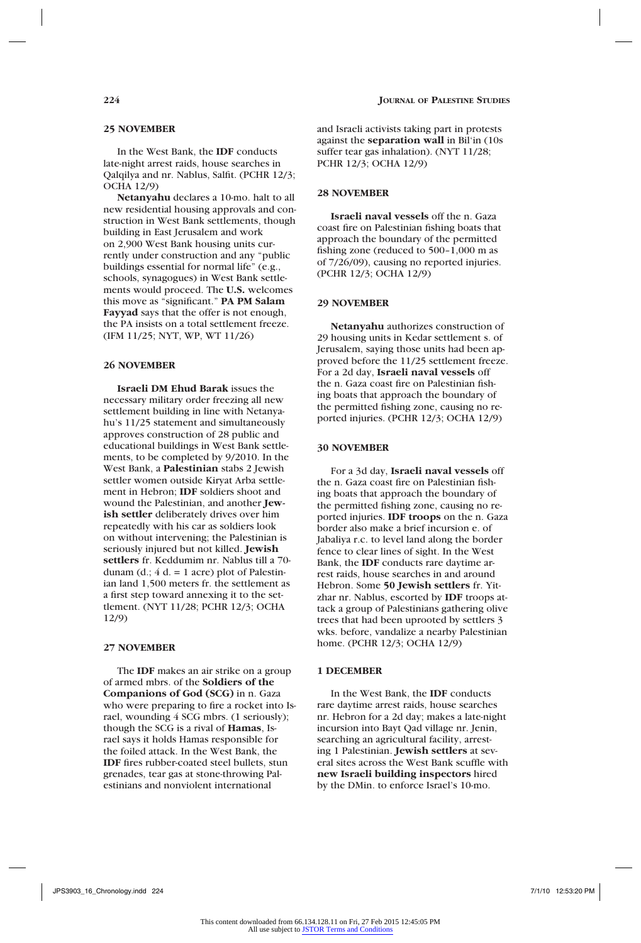# **25 NOVEMBER**

In the West Bank, the **IDF** conducts late-night arrest raids, house searches in Qalqilya and nr. Nablus, Salfit. (PCHR 12/3; OCHA 12/9)

**Netanyahu** declares a 10-mo. halt to all new residential housing approvals and construction in West Bank settlements, though building in East Jerusalem and work on 2,900 West Bank housing units currently under construction and any "public buildings essential for normal life" (e.g., schools, synagogues) in West Bank settlements would proceed. The **U.S.** welcomes this move as "significant." **PA PM Salam Fayyad** says that the offer is not enough, the PA insists on a total settlement freeze. (IFM 11/25; NYT, WP, WT 11/26)

#### **26 NOVEMBER**

**Israeli DM Ehud Barak** issues the necessary military order freezing all new settlement building in line with Netanyahu's 11/25 statement and simultaneously approves construction of 28 public and educational buildings in West Bank settlements, to be completed by 9/2010. In the West Bank, a **Palestinian** stabs 2 Jewish settler women outside Kiryat Arba settlement in Hebron; **IDF** soldiers shoot and wound the Palestinian, and another **Jewish settler** deliberately drives over him repeatedly with his car as soldiers look on without intervening; the Palestinian is seriously injured but not killed. **Jewish settlers** fr. Keddumim nr. Nablus till a 70 dunam (d.;  $4 d = 1$  acre) plot of Palestinian land 1,500 meters fr. the settlement as a first step toward annexing it to the settlement. (NYT 11/28; PCHR 12/3; OCHA 12/9)

### **27 NOVEMBER**

The **IDF** makes an air strike on a group of armed mbrs. of the **Soldiers of the Companions of God (SCG)** in n. Gaza who were preparing to fire a rocket into Israel, wounding 4 SCG mbrs. (1 seriously); though the SCG is a rival of **Hamas**, Israel says it holds Hamas responsible for the foiled attack. In the West Bank, the **IDF** fires rubber-coated steel bullets, stun grenades, tear gas at stone-throwing Palestinians and nonviolent international

and Israeli activists taking part in protests against the **separation wall** in Bil'in (10s suffer tear gas inhalation). (NYT 11/28; PCHR 12/3; OCHA 12/9)

#### **28 NOVEMBER**

**Israeli naval vessels** off the n. Gaza coast fire on Palestinian fishing boats that approach the boundary of the permitted fishing zone (reduced to 500–1,000 m as of 7/26/09), causing no reported injuries. (PCHR 12/3; OCHA 12/9)

### **29 NOVEMBER**

**Netanyahu** authorizes construction of 29 housing units in Kedar settlement s. of Jerusalem, saying those units had been approved before the 11/25 settlement freeze. For a 2d day, **Israeli naval vessels** off the n. Gaza coast fire on Palestinian fishing boats that approach the boundary of the permitted fishing zone, causing no reported injuries. (PCHR 12/3; OCHA 12/9)

### **30 NOVEMBER**

For a 3d day, **Israeli naval vessels** off the n. Gaza coast fire on Palestinian fishing boats that approach the boundary of the permitted fishing zone, causing no reported injuries. **IDF troops** on the n. Gaza border also make a brief incursion e. of Jabaliya r.c. to level land along the border fence to clear lines of sight. In the West Bank, the **IDF** conducts rare daytime arrest raids, house searches in and around Hebron. Some **50 Jewish settlers** fr. Yitzhar nr. Nablus, escorted by **IDF** troops attack a group of Palestinians gathering olive trees that had been uprooted by settlers 3 wks. before, vandalize a nearby Palestinian home. (PCHR 12/3; OCHA 12/9)

### **1 DECEMBER**

In the West Bank, the **IDF** conducts rare daytime arrest raids, house searches nr. Hebron for a 2d day; makes a late-night incursion into Bayt Qad village nr. Jenin, searching an agricultural facility, arresting 1 Palestinian. **Jewish settlers** at several sites across the West Bank scuffle with **new Israeli building inspectors** hired by the DMin. to enforce Israel's 10-mo.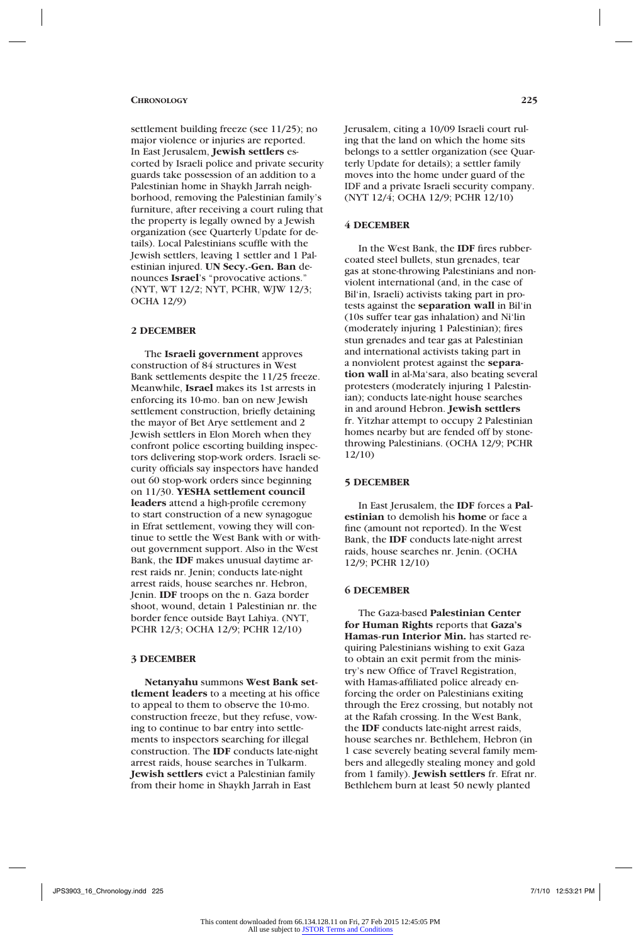settlement building freeze (see 11/25); no major violence or injuries are reported. In East Jerusalem, **Jewish settlers** escorted by Israeli police and private security guards take possession of an addition to a Palestinian home in Shaykh Jarrah neighborhood, removing the Palestinian family's furniture, after receiving a court ruling that the property is legally owned by a Jewish organization (see Quarterly Update for details). Local Palestinians scuffle with the Jewish settlers, leaving 1 settler and 1 Palestinian injured. **UN Secy.-Gen. Ban** denounces **Israel**'s "provocative actions." (NYT, WT 12/2; NYT, PCHR, WJW 12/3; OCHA 12/9)

# **2 DECEMBER**

The **Israeli government** approves construction of 84 structures in West Bank settlements despite the 11/25 freeze. Meanwhile, **Israel** makes its 1st arrests in enforcing its 10-mo. ban on new Jewish settlement construction, briefly detaining the mayor of Bet Arye settlement and 2 Jewish settlers in Elon Moreh when they confront police escorting building inspectors delivering stop-work orders. Israeli security officials say inspectors have handed out 60 stop-work orders since beginning on 11/30. **YESHA settlement council leaders** attend a high-profile ceremony to start construction of a new synagogue in Efrat settlement, vowing they will continue to settle the West Bank with or without government support. Also in the West Bank, the **IDF** makes unusual daytime arrest raids nr. Jenin; conducts late-night arrest raids, house searches nr. Hebron, Jenin. **IDF** troops on the n. Gaza border shoot, wound, detain 1 Palestinian nr. the border fence outside Bayt Lahiya. (NYT, PCHR 12/3; OCHA 12/9; PCHR 12/10)

# **3 DECEMBER**

**Netanyahu** summons **West Bank settlement leaders** to a meeting at his office to appeal to them to observe the 10-mo. construction freeze, but they refuse, vowing to continue to bar entry into settlements to inspectors searching for illegal construction. The **IDF** conducts late-night arrest raids, house searches in Tulkarm. **Jewish settlers** evict a Palestinian family from their home in Shaykh Jarrah in East

Jerusalem, citing a 10/09 Israeli court ruling that the land on which the home sits belongs to a settler organization (see Quarterly Update for details); a settler family moves into the home under guard of the IDF and a private Israeli security company. (NYT 12/4; OCHA 12/9; PCHR 12/10)

### **4 DECEMBER**

In the West Bank, the **IDF** fires rubbercoated steel bullets, stun grenades, tear gas at stone-throwing Palestinians and nonviolent international (and, in the case of Bil'in, Israeli) activists taking part in protests against the **separation wall** in Bil'in (10s suffer tear gas inhalation) and Ni'lin (moderately injuring 1 Palestinian); fires stun grenades and tear gas at Palestinian and international activists taking part in a nonviolent protest against the **separation wall** in al-Ma'sara, also beating several protesters (moderately injuring 1 Palestinian); conducts late-night house searches in and around Hebron. **Jewish settlers**  fr. Yitzhar attempt to occupy 2 Palestinian homes nearby but are fended off by stonethrowing Palestinians. (OCHA 12/9; PCHR 12/10)

#### **5 DECEMBER**

In East Jerusalem, the **IDF** forces a **Palestinian** to demolish his **home** or face a fine (amount not reported). In the West Bank, the **IDF** conducts late-night arrest raids, house searches nr. Jenin. (OCHA 12/9; PCHR 12/10)

#### **6 DECEMBER**

The Gaza-based **Palestinian Center for Human Rights** reports that **Gaza's Hamas-run Interior Min.** has started requiring Palestinians wishing to exit Gaza to obtain an exit permit from the ministry's new Office of Travel Registration, with Hamas-affiliated police already enforcing the order on Palestinians exiting through the Erez crossing, but notably not at the Rafah crossing. In the West Bank, the **IDF** conducts late-night arrest raids, house searches nr. Bethlehem, Hebron (in 1 case severely beating several family members and allegedly stealing money and gold from 1 family). **Jewish settlers** fr. Efrat nr. Bethlehem burn at least 50 newly planted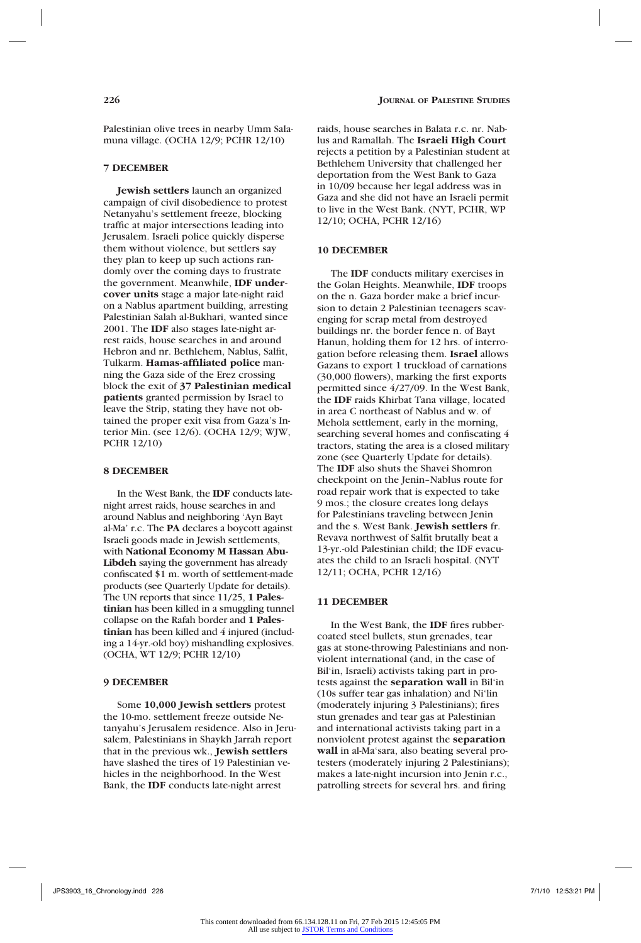Palestinian olive trees in nearby Umm Salamuna village. (OCHA 12/9; PCHR 12/10)

# **7 DECEMBER**

**Jewish settlers** launch an organized campaign of civil disobedience to protest Netanyahu's settlement freeze, blocking traffic at major intersections leading into Jerusalem. Israeli police quickly disperse them without violence, but settlers say they plan to keep up such actions randomly over the coming days to frustrate the government. Meanwhile, **IDF undercover units** stage a major late-night raid on a Nablus apartment building, arresting Palestinian Salah al-Bukhari, wanted since 2001. The **IDF** also stages late-night arrest raids, house searches in and around Hebron and nr. Bethlehem, Nablus, Salfit, Tulkarm. **Hamas-affiliated police** manning the Gaza side of the Erez crossing block the exit of **37 Palestinian medical patients** granted permission by Israel to leave the Strip, stating they have not obtained the proper exit visa from Gaza's Interior Min. (see 12/6). (OCHA 12/9; WJW, PCHR 12/10)

#### **8 DECEMBER**

In the West Bank, the **IDF** conducts latenight arrest raids, house searches in and around Nablus and neighboring 'Ayn Bayt al-Ma' r.c. The **PA** declares a boycott against Israeli goods made in Jewish settlements, with **National Economy M Hassan Abu-Libdeh** saying the government has already confiscated \$1 m. worth of settlement-made products (see Quarterly Update for details). The UN reports that since 11/25, **1 Palestinian** has been killed in a smuggling tunnel collapse on the Rafah border and **1 Palestinian** has been killed and 4 injured (including a 14-yr.-old boy) mishandling explosives. (OCHA, WT 12/9; PCHR 12/10)

#### **9 DECEMBER**

Some **10,000 Jewish settlers** protest the 10-mo. settlement freeze outside Netanyahu's Jerusalem residence. Also in Jerusalem, Palestinians in Shaykh Jarrah report that in the previous wk., **Jewish settlers**  have slashed the tires of 19 Palestinian vehicles in the neighborhood. In the West Bank, the **IDF** conducts late-night arrest

raids, house searches in Balata r.c. nr. Nablus and Ramallah. The **Israeli High Court** rejects a petition by a Palestinian student at Bethlehem University that challenged her deportation from the West Bank to Gaza in 10/09 because her legal address was in Gaza and she did not have an Israeli permit to live in the West Bank. (NYT, PCHR, WP 12/10; OCHA, PCHR 12/16)

### **10 DECEMBER**

The **IDF** conducts military exercises in the Golan Heights. Meanwhile, **IDF** troops on the n. Gaza border make a brief incursion to detain 2 Palestinian teenagers scavenging for scrap metal from destroyed buildings nr. the border fence n. of Bayt Hanun, holding them for 12 hrs. of interrogation before releasing them. **Israel** allows Gazans to export 1 truckload of carnations (30,000 flowers), marking the first exports permitted since 4/27/09. In the West Bank, the **IDF** raids Khirbat Tana village, located in area C northeast of Nablus and w. of Mehola settlement, early in the morning, searching several homes and confiscating 4 tractors, stating the area is a closed military zone (see Quarterly Update for details). The **IDF** also shuts the Shavei Shomron checkpoint on the Jenin–Nablus route for road repair work that is expected to take 9 mos.; the closure creates long delays for Palestinians traveling between Jenin and the s. West Bank. **Jewish settlers** fr. Revava northwest of Salfit brutally beat a 13-yr.-old Palestinian child; the IDF evacuates the child to an Israeli hospital. (NYT 12/11; OCHA, PCHR 12/16)

#### **11 DECEMBER**

In the West Bank, the **IDF** fires rubbercoated steel bullets, stun grenades, tear gas at stone-throwing Palestinians and nonviolent international (and, in the case of Bil'in, Israeli) activists taking part in protests against the **separation wall** in Bil'in (10s suffer tear gas inhalation) and Ni'lin (moderately injuring 3 Palestinians); fires stun grenades and tear gas at Palestinian and international activists taking part in a nonviolent protest against the **separation wall** in al-Ma'sara, also beating several protesters (moderately injuring 2 Palestinians); makes a late-night incursion into Jenin r.c., patrolling streets for several hrs. and firing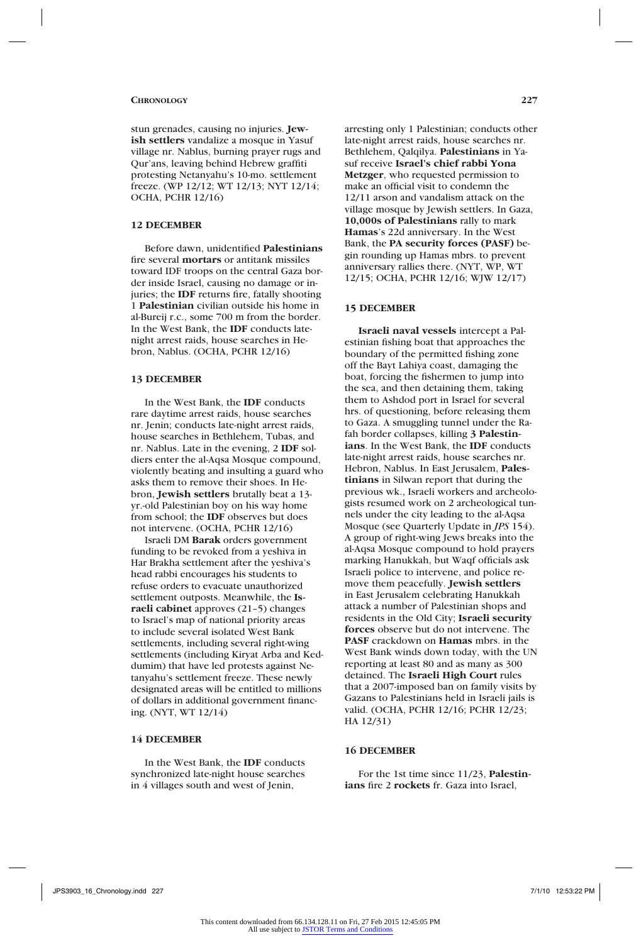stun grenades, causing no injuries. **Jewish settlers** vandalize a mosque in Yasuf village nr. Nablus, burning prayer rugs and Qur'ans, leaving behind Hebrew graffiti protesting Netanyahu's 10-mo. settlement freeze. (WP 12/12; WT 12/13; NYT 12/14; OCHA, PCHR 12/16)

### **12 DECEMBER**

Before dawn, unidentified **Palestinians**  fire several **mortars** or antitank missiles toward IDF troops on the central Gaza border inside Israel, causing no damage or injuries; the **IDF** returns fire, fatally shooting 1 **Palestinian** civilian outside his home in al-Bureij r.c., some 700 m from the border. In the West Bank, the **IDF** conducts latenight arrest raids, house searches in Hebron, Nablus. (OCHA, PCHR 12/16)

#### **13 DECEMBER**

In the West Bank, the **IDF** conducts rare daytime arrest raids, house searches nr. Jenin; conducts late-night arrest raids, house searches in Bethlehem, Tubas, and nr. Nablus. Late in the evening, 2 **IDF** soldiers enter the al-Aqsa Mosque compound, violently beating and insulting a guard who asks them to remove their shoes. In Hebron, **Jewish settlers** brutally beat a 13 yr.-old Palestinian boy on his way home from school; the **IDF** observes but does not intervene. (OCHA, PCHR 12/16)

Israeli DM **Barak** orders government funding to be revoked from a yeshiva in Har Brakha settlement after the yeshiva's head rabbi encourages his students to refuse orders to evacuate unauthorized settlement outposts. Meanwhile, the **Israeli cabinet** approves (21–5) changes to Israel's map of national priority areas to include several isolated West Bank settlements, including several right-wing settlements (including Kiryat Arba and Keddumim) that have led protests against Netanyahu's settlement freeze. These newly designated areas will be entitled to millions of dollars in additional government financing. (NYT, WT 12/14)

#### **14 DECEMBER**

In the West Bank, the **IDF** conducts synchronized late-night house searches in 4 villages south and west of Jenin,

arresting only 1 Palestinian; conducts other late-night arrest raids, house searches nr. Bethlehem, Qalqilya. **Palestinians** in Yasuf receive **Israel's chief rabbi Yona Metzger**, who requested permission to make an official visit to condemn the 12/11 arson and vandalism attack on the village mosque by Jewish settlers. In Gaza, **10,000s of Palestinians** rally to mark **Hamas**'s 22d anniversary. In the West Bank, the **PA security forces (PASF)** begin rounding up Hamas mbrs. to prevent anniversary rallies there. (NYT, WP, WT 12/15; OCHA, PCHR 12/16; WJW 12/17)

#### **15 DECEMBER**

**Israeli naval vessels** intercept a Palestinian fishing boat that approaches the boundary of the permitted fishing zone off the Bayt Lahiya coast, damaging the boat, forcing the fishermen to jump into the sea, and then detaining them, taking them to Ashdod port in Israel for several hrs. of questioning, before releasing them to Gaza. A smuggling tunnel under the Rafah border collapses, killing **3 Palestinians**. In the West Bank, the **IDF** conducts late-night arrest raids, house searches nr. Hebron, Nablus. In East Jerusalem, **Palestinians** in Silwan report that during the previous wk., Israeli workers and archeologists resumed work on 2 archeological tunnels under the city leading to the al-Aqsa Mosque (see Quarterly Update in *JPS* 154). A group of right-wing Jews breaks into the al-Aqsa Mosque compound to hold prayers marking Hanukkah, but Waqf officials ask Israeli police to intervene, and police remove them peacefully. **Jewish settlers**  in East Jerusalem celebrating Hanukkah attack a number of Palestinian shops and residents in the Old City; **Israeli security forces** observe but do not intervene. The **PASF** crackdown on **Hamas** mbrs. in the West Bank winds down today, with the UN reporting at least 80 and as many as 300 detained. The **Israeli High Court** rules that a 2007-imposed ban on family visits by Gazans to Palestinians held in Israeli jails is valid. (OCHA, PCHR 12/16; PCHR 12/23; HA 12/31)

### **16 DECEMBER**

For the 1st time since 11/23, **Palestinians** fire 2 **rockets** fr. Gaza into Israel,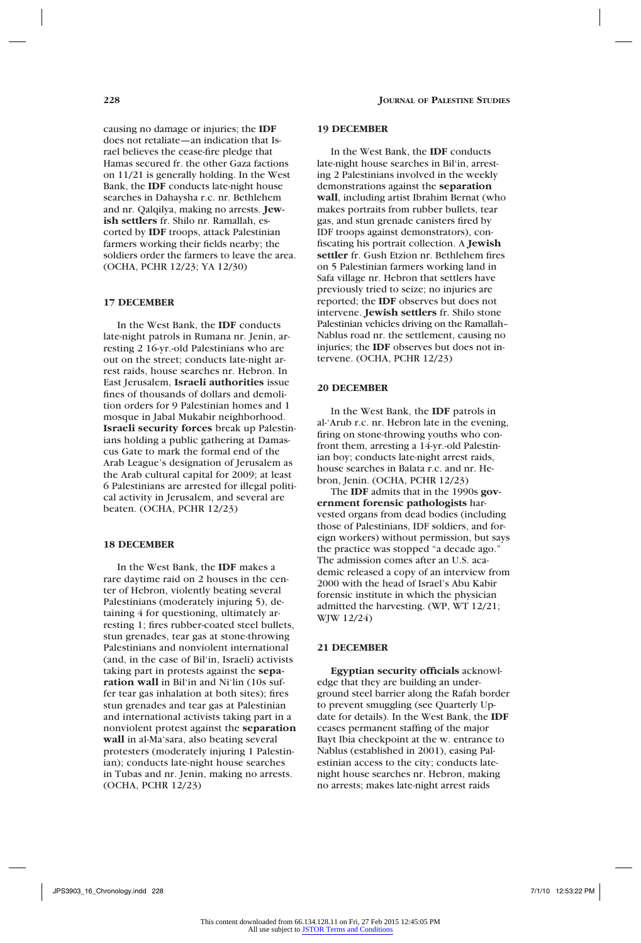causing no damage or injuries; the **IDF**  does not retaliate—an indication that Israel believes the cease-fire pledge that Hamas secured fr. the other Gaza factions on 11/21 is generally holding. In the West Bank, the **IDF** conducts late-night house searches in Dahaysha r.c. nr. Bethlehem and nr. Qalqilya, making no arrests. **Jewish settlers** fr. Shilo nr. Ramallah, escorted by **IDF** troops, attack Palestinian farmers working their fields nearby; the soldiers order the farmers to leave the area. (OCHA, PCHR 12/23; YA 12/30)

#### **17 DECEMBER**

In the West Bank, the **IDF** conducts late-night patrols in Rumana nr. Jenin, arresting 2 16-yr.-old Palestinians who are out on the street; conducts late-night arrest raids, house searches nr. Hebron. In East Jerusalem, **Israeli authorities** issue fines of thousands of dollars and demolition orders for 9 Palestinian homes and 1 mosque in Jabal Mukabir neighborhood. **Israeli security forces** break up Palestinians holding a public gathering at Damascus Gate to mark the formal end of the Arab League's designation of Jerusalem as the Arab cultural capital for 2009; at least 6 Palestinians are arrested for illegal political activity in Jerusalem, and several are beaten. (OCHA, PCHR 12/23)

#### **18 DECEMBER**

In the West Bank, the **IDF** makes a rare daytime raid on 2 houses in the center of Hebron, violently beating several Palestinians (moderately injuring 5), detaining 4 for questioning, ultimately arresting 1; fires rubber-coated steel bullets, stun grenades, tear gas at stone-throwing Palestinians and nonviolent international (and, in the case of Bil'in, Israeli) activists taking part in protests against the **separation wall** in Bil'in and Ni'lin (10s suffer tear gas inhalation at both sites); fires stun grenades and tear gas at Palestinian and international activists taking part in a nonviolent protest against the **separation wall** in al-Ma'sara, also beating several protesters (moderately injuring 1 Palestinian); conducts late-night house searches in Tubas and nr. Jenin, making no arrests. (OCHA, PCHR 12/23)

#### **19 DECEMBER**

In the West Bank, the **IDF** conducts late-night house searches in Bil'in, arresting 2 Palestinians involved in the weekly demonstrations against the **separation wall**, including artist Ibrahim Bernat (who makes portraits from rubber bullets, tear gas, and stun grenade canisters fired by IDF troops against demonstrators), confiscating his portrait collection. A **Jewish settler** fr. Gush Etzion nr. Bethlehem fires on 5 Palestinian farmers working land in Safa village nr. Hebron that settlers have previously tried to seize; no injuries are reported; the **IDF** observes but does not intervene. **Jewish settlers** fr. Shilo stone Palestinian vehicles driving on the Ramallah– Nablus road nr. the settlement, causing no injuries; the **IDF** observes but does not intervene. (OCHA, PCHR 12/23)

#### **20 DECEMBER**

In the West Bank, the **IDF** patrols in al-'Arub r.c. nr. Hebron late in the evening, firing on stone-throwing youths who confront them, arresting a 14-yr.-old Palestinian boy; conducts late-night arrest raids, house searches in Balata r.c. and nr. Hebron, Jenin. (OCHA, PCHR 12/23)

The **IDF** admits that in the 1990s **government forensic pathologists** harvested organs from dead bodies (including those of Palestinians, IDF soldiers, and foreign workers) without permission, but says the practice was stopped "a decade ago." The admission comes after an U.S. academic released a copy of an interview from 2000 with the head of Israel's Abu Kabir forensic institute in which the physician admitted the harvesting. (WP, WT 12/21; WJW 12/24)

# **21 DECEMBER**

**Egyptian security officials** acknowledge that they are building an underground steel barrier along the Rafah border to prevent smuggling (see Quarterly Update for details). In the West Bank, the **IDF**  ceases permanent staffing of the major Bayt Ibia checkpoint at the w. entrance to Nablus (established in 2001), easing Palestinian access to the city; conducts latenight house searches nr. Hebron, making no arrests; makes late-night arrest raids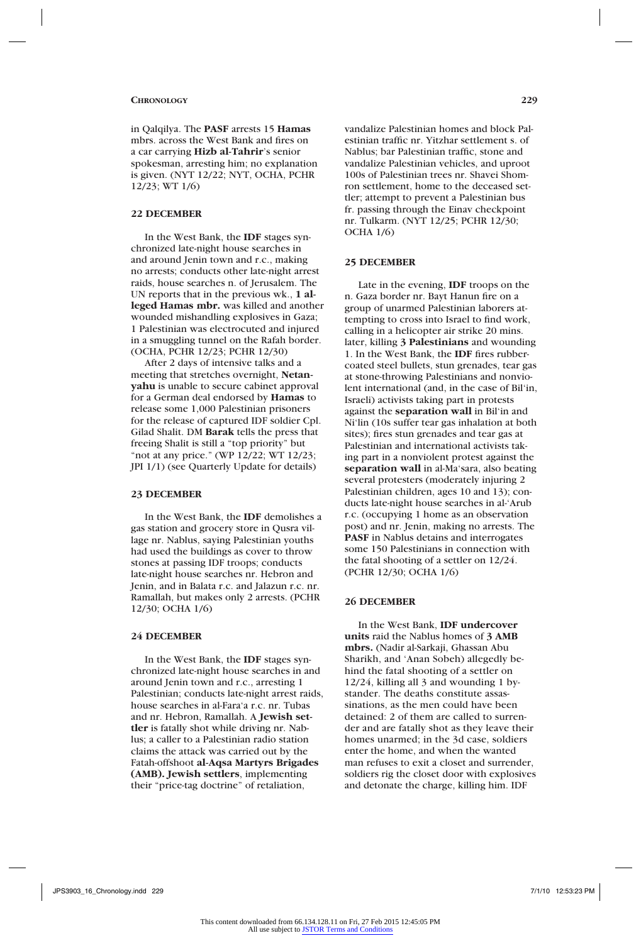in Qalqilya. The **PASF** arrests 15 **Hamas**  mbrs. across the West Bank and fires on a car carrying **Hizb al-Tahrir**'s senior spokesman, arresting him; no explanation is given. (NYT 12/22; NYT, OCHA, PCHR 12/23; WT 1/6)

# **22 DECEMBER**

In the West Bank, the **IDF** stages synchronized late-night house searches in and around Jenin town and r.c., making no arrests; conducts other late-night arrest raids, house searches n. of Jerusalem. The UN reports that in the previous wk., **1 alleged Hamas mbr.** was killed and another wounded mishandling explosives in Gaza; 1 Palestinian was electrocuted and injured in a smuggling tunnel on the Rafah border. (OCHA, PCHR 12/23; PCHR 12/30)

After 2 days of intensive talks and a meeting that stretches overnight, **Netanyahu** is unable to secure cabinet approval for a German deal endorsed by **Hamas** to release some 1,000 Palestinian prisoners for the release of captured IDF soldier Cpl. Gilad Shalit. DM **Barak** tells the press that freeing Shalit is still a "top priority" but "not at any price." (WP 12/22; WT 12/23; JPI 1/1) (see Quarterly Update for details)

#### **23 DECEMBER**

In the West Bank, the **IDF** demolishes a gas station and grocery store in Qusra village nr. Nablus, saying Palestinian youths had used the buildings as cover to throw stones at passing IDF troops; conducts late-night house searches nr. Hebron and Jenin, and in Balata r.c. and Jalazun r.c. nr. Ramallah, but makes only 2 arrests. (PCHR 12/30; OCHA 1/6)

#### **24 DECEMBER**

In the West Bank, the **IDF** stages synchronized late-night house searches in and around Jenin town and r.c., arresting 1 Palestinian; conducts late-night arrest raids, house searches in al-Fara'a r.c. nr. Tubas and nr. Hebron, Ramallah. A **Jewish settler** is fatally shot while driving nr. Nablus; a caller to a Palestinian radio station claims the attack was carried out by the Fatah-offshoot **al-Aqsa Martyrs Brigades (AMB). Jewish settlers**, implementing their "price-tag doctrine" of retaliation,

vandalize Palestinian homes and block Palestinian traffic nr. Yitzhar settlement s. of Nablus; bar Palestinian traffic, stone and vandalize Palestinian vehicles, and uproot 100s of Palestinian trees nr. Shavei Shomron settlement, home to the deceased settler; attempt to prevent a Palestinian bus fr. passing through the Einav checkpoint nr. Tulkarm. (NYT 12/25; PCHR 12/30; OCHA 1/6)

### **25 DECEMBER**

Late in the evening, **IDF** troops on the n. Gaza border nr. Bayt Hanun fire on a group of unarmed Palestinian laborers attempting to cross into Israel to find work, calling in a helicopter air strike 20 mins. later, killing **3 Palestinians** and wounding 1. In the West Bank, the **IDF** fires rubbercoated steel bullets, stun grenades, tear gas at stone-throwing Palestinians and nonviolent international (and, in the case of Bil'in, Israeli) activists taking part in protests against the **separation wall** in Bil'in and Ni'lin (10s suffer tear gas inhalation at both sites); fires stun grenades and tear gas at Palestinian and international activists taking part in a nonviolent protest against the **separation wall** in al-Ma'sara, also beating several protesters (moderately injuring 2 Palestinian children, ages 10 and 13); conducts late-night house searches in al-'Arub r.c. (occupying 1 home as an observation post) and nr. Jenin, making no arrests. The **PASF** in Nablus detains and interrogates some 150 Palestinians in connection with the fatal shooting of a settler on 12/24. (PCHR 12/30; OCHA 1/6)

#### **26 DECEMBER**

In the West Bank, **IDF undercover units** raid the Nablus homes of **3 AMB mbrs.** (Nadir al-Sarkaji, Ghassan Abu Sharikh, and 'Anan Sobeh) allegedly behind the fatal shooting of a settler on 12/24, killing all 3 and wounding 1 bystander. The deaths constitute assassinations, as the men could have been detained: 2 of them are called to surrender and are fatally shot as they leave their homes unarmed; in the 3d case, soldiers enter the home, and when the wanted man refuses to exit a closet and surrender, soldiers rig the closet door with explosives and detonate the charge, killing him. IDF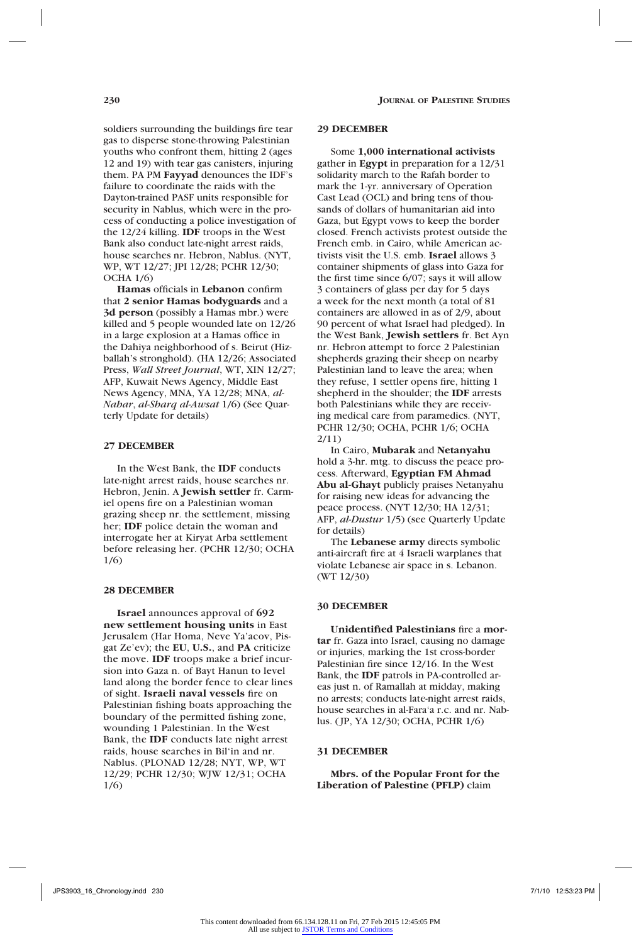soldiers surrounding the buildings fire tear gas to disperse stone-throwing Palestinian youths who confront them, hitting 2 (ages 12 and 19) with tear gas canisters, injuring them. PA PM **Fayyad** denounces the IDF's failure to coordinate the raids with the Dayton-trained PASF units responsible for security in Nablus, which were in the process of conducting a police investigation of the 12/24 killing. **IDF** troops in the West Bank also conduct late-night arrest raids, house searches nr. Hebron, Nablus. (NYT, WP, WT 12/27; JPI 12/28; PCHR 12/30; OCHA 1/6)

**Hamas** officials in **Lebanon** confirm that **2 senior Hamas bodyguards** and a **3d person** (possibly a Hamas mbr.) were killed and 5 people wounded late on 12/26 in a large explosion at a Hamas office in the Dahiya neighborhood of s. Beirut (Hizballah's stronghold). (HA 12/26; Associated Press, *Wall Street Journal*, WT, XIN 12/27; AFP, Kuwait News Agency, Middle East News Agency, MNA, YA 12/28; MNA, *al-Nahar*, *al-Sharq al-Awsat* 1/6) (See Quarterly Update for details)

# **27 DECEMBER**

In the West Bank, the **IDF** conducts late-night arrest raids, house searches nr. Hebron, Jenin. A **Jewish settler** fr. Carmiel opens fire on a Palestinian woman grazing sheep nr. the settlement, missing her; **IDF** police detain the woman and interrogate her at Kiryat Arba settlement before releasing her. (PCHR 12/30; OCHA 1/6)

#### **28 DECEMBER**

**Israel** announces approval of **692 new settlement housing units** in East Jerusalem (Har Homa, Neve Ya'acov, Pisgat Ze'ev); the **EU**, **U.S.**, and **PA** criticize the move. **IDF** troops make a brief incursion into Gaza n. of Bayt Hanun to level land along the border fence to clear lines of sight. **Israeli naval vessels** fire on Palestinian fishing boats approaching the boundary of the permitted fishing zone, wounding 1 Palestinian. In the West Bank, the **IDF** conducts late night arrest raids, house searches in Bil'in and nr. Nablus. (PLONAD 12/28; NYT, WP, WT 12/29; PCHR 12/30; WJW 12/31; OCHA 1/6)

#### **29 DECEMBER**

Some **1,000 international activists** gather in **Egypt** in preparation for a 12/31 solidarity march to the Rafah border to mark the 1-yr. anniversary of Operation Cast Lead (OCL) and bring tens of thousands of dollars of humanitarian aid into Gaza, but Egypt vows to keep the border closed. French activists protest outside the French emb. in Cairo, while American activists visit the U.S. emb. **Israel** allows 3 container shipments of glass into Gaza for the first time since 6/07; says it will allow 3 containers of glass per day for 5 days a week for the next month (a total of 81 containers are allowed in as of 2/9, about 90 percent of what Israel had pledged). In the West Bank, **Jewish settlers** fr. Bet Ayn nr. Hebron attempt to force 2 Palestinian shepherds grazing their sheep on nearby Palestinian land to leave the area; when they refuse, 1 settler opens fire, hitting 1 shepherd in the shoulder; the **IDF** arrests both Palestinians while they are receiving medical care from paramedics. (NYT, PCHR 12/30; OCHA, PCHR 1/6; OCHA 2/11)

In Cairo, **Mubarak** and **Netanyahu**  hold a 3-hr. mtg. to discuss the peace process. Afterward, **Egyptian FM Ahmad Abu al-Ghayt** publicly praises Netanyahu for raising new ideas for advancing the peace process. (NYT 12/30; HA 12/31; AFP, *al-Dustur* 1/5) (see Quarterly Update for details)

The **Lebanese army** directs symbolic anti-aircraft fire at 4 Israeli warplanes that violate Lebanese air space in s. Lebanon. (WT 12/30)

#### **30 DECEMBER**

**Unidentified Palestinians** fire a **mortar** fr. Gaza into Israel, causing no damage or injuries, marking the 1st cross-border Palestinian fire since 12/16. In the West Bank, the **IDF** patrols in PA-controlled areas just n. of Ramallah at midday, making no arrests; conducts late-night arrest raids, house searches in al-Fara'a r.c. and nr. Nablus. (JP, YA 12/30; OCHA, PCHR 1/6)

#### **31 DECEMBER**

**Mbrs. of the Popular Front for the Liberation of Palestine (PFLP)** claim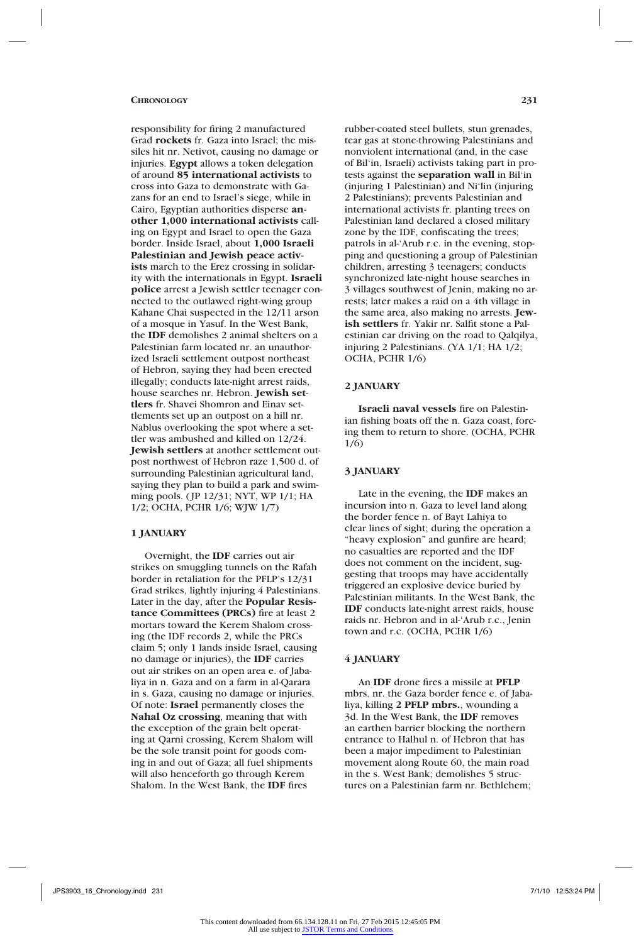responsibility for firing 2 manufactured Grad **rockets** fr. Gaza into Israel; the missiles hit nr. Netivot, causing no damage or injuries. **Egypt** allows a token delegation of around **85 international activists** to cross into Gaza to demonstrate with Gazans for an end to Israel's siege, while in Cairo, Egyptian authorities disperse **another 1,000 international activists** calling on Egypt and Israel to open the Gaza border. Inside Israel, about **1,000 Israeli Palestinian and Jewish peace activists** march to the Erez crossing in solidarity with the internationals in Egypt. **Israeli police** arrest a Jewish settler teenager connected to the outlawed right-wing group Kahane Chai suspected in the 12/11 arson of a mosque in Yasuf. In the West Bank, the **IDF** demolishes 2 animal shelters on a Palestinian farm located nr. an unauthorized Israeli settlement outpost northeast of Hebron, saying they had been erected illegally; conducts late-night arrest raids, house searches nr. Hebron. **Jewish settlers** fr. Shavei Shomron and Einav settlements set up an outpost on a hill nr. Nablus overlooking the spot where a settler was ambushed and killed on 12/24. **Jewish settlers** at another settlement outpost northwest of Hebron raze 1,500 d. of surrounding Palestinian agricultural land, saying they plan to build a park and swimming pools. (JP 12/31; NYT, WP 1/1; HA 1/2; OCHA, PCHR 1/6; WJW 1/7)

#### **1 JANUARY**

Overnight, the **IDF** carries out air strikes on smuggling tunnels on the Rafah border in retaliation for the PFLP's 12/31 Grad strikes, lightly injuring 4 Palestinians. Later in the day, after the **Popular Resistance Committees (PRCs)** fire at least 2 mortars toward the Kerem Shalom crossing (the IDF records 2, while the PRCs claim 5; only 1 lands inside Israel, causing no damage or injuries), the **IDF** carries out air strikes on an open area e. of Jabaliya in n. Gaza and on a farm in al-Qarara in s. Gaza, causing no damage or injuries. Of note: **Israel** permanently closes the **Nahal Oz crossing**, meaning that with the exception of the grain belt operating at Qarni crossing, Kerem Shalom will be the sole transit point for goods coming in and out of Gaza; all fuel shipments will also henceforth go through Kerem Shalom. In the West Bank, the **IDF** fires

rubber-coated steel bullets, stun grenades, tear gas at stone-throwing Palestinians and nonviolent international (and, in the case of Bil'in, Israeli) activists taking part in protests against the **separation wall** in Bil'in (injuring 1 Palestinian) and Ni'lin (injuring 2 Palestinians); prevents Palestinian and international activists fr. planting trees on Palestinian land declared a closed military zone by the IDF, confiscating the trees; patrols in al-'Arub r.c. in the evening, stopping and questioning a group of Palestinian children, arresting 3 teenagers; conducts synchronized late-night house searches in 3 villages southwest of Jenin, making no arrests; later makes a raid on a 4th village in the same area, also making no arrests. **Jewish settlers** fr. Yakir nr. Salfit stone a Palestinian car driving on the road to Qalqilya, injuring 2 Palestinians. (YA 1/1; HA 1/2; OCHA, PCHR 1/6)

#### **2 JANUARY**

**Israeli naval vessels** fire on Palestinian fishing boats off the n. Gaza coast, forcing them to return to shore. (OCHA, PCHR 1/6)

#### **3 JANUARY**

Late in the evening, the **IDF** makes an incursion into n. Gaza to level land along the border fence n. of Bayt Lahiya to clear lines of sight; during the operation a "heavy explosion" and gunfire are heard; no casualties are reported and the IDF does not comment on the incident, suggesting that troops may have accidentally triggered an explosive device buried by Palestinian militants. In the West Bank, the **IDF** conducts late-night arrest raids, house raids nr. Hebron and in al-'Arub r.c., Jenin town and r.c. (OCHA, PCHR 1/6)

#### **4 JANUARY**

An **IDF** drone fires a missile at **PFLP**  mbrs. nr. the Gaza border fence e. of Jabaliya, killing **2 PFLP mbrs.**, wounding a 3d. In the West Bank, the **IDF** removes an earthen barrier blocking the northern entrance to Halhul n. of Hebron that has been a major impediment to Palestinian movement along Route 60, the main road in the s. West Bank; demolishes 5 structures on a Palestinian farm nr. Bethlehem;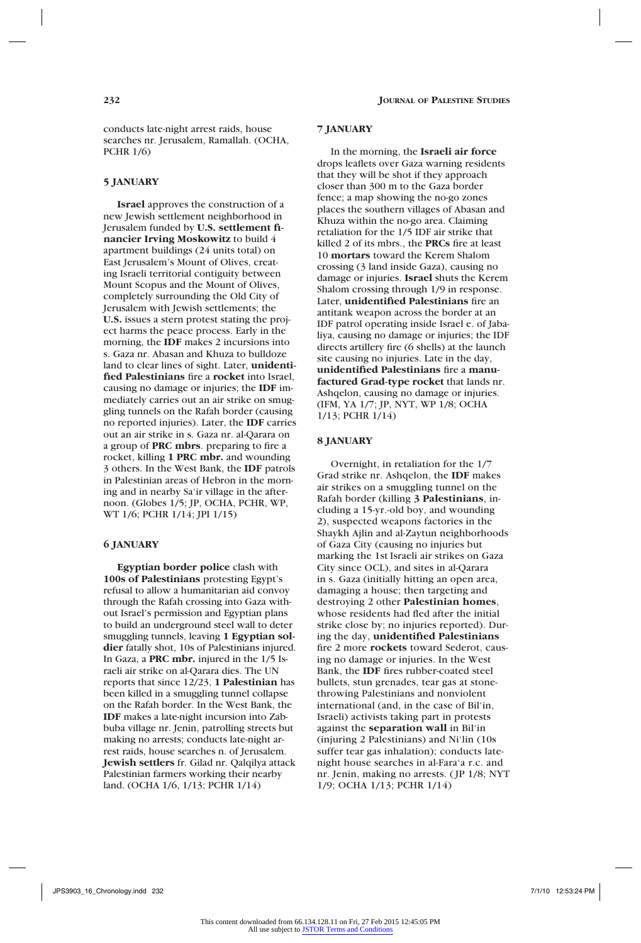conducts late-night arrest raids, house searches nr. Jerusalem, Ramallah. (OCHA, PCHR 1/6)

### **5 JANUARY**

**Israel** approves the construction of a new Jewish settlement neighborhood in Jerusalem funded by **U.S. settlement financier Irving Moskowitz** to build 4 apartment buildings (24 units total) on East Jerusalem's Mount of Olives, creating Israeli territorial contiguity between Mount Scopus and the Mount of Olives, completely surrounding the Old City of Jerusalem with Jewish settlements; the **U.S.** issues a stern protest stating the project harms the peace process. Early in the morning, the **IDF** makes 2 incursions into s. Gaza nr. Abasan and Khuza to bulldoze land to clear lines of sight. Later, **unidentified Palestinians** fire a **rocket** into Israel, causing no damage or injuries; the **IDF** immediately carries out an air strike on smuggling tunnels on the Rafah border (causing no reported injuries). Later, the **IDF** carries out an air strike in s. Gaza nr. al-Qarara on a group of **PRC mbrs**. preparing to fire a rocket, killing **1 PRC mbr.** and wounding 3 others. In the West Bank, the **IDF** patrols in Palestinian areas of Hebron in the morning and in nearby Sa'ir village in the afternoon. (Globes 1/5; JP, OCHA, PCHR, WP, WT 1/6; PCHR 1/14; JPI 1/15)

### **6 JANUARY**

**Egyptian border police** clash with **100s of Palestinians** protesting Egypt's refusal to allow a humanitarian aid convoy through the Rafah crossing into Gaza without Israel's permission and Egyptian plans to build an underground steel wall to deter smuggling tunnels, leaving **1 Egyptian soldier** fatally shot, 10s of Palestinians injured. In Gaza, a **PRC mbr.** injured in the 1/5 Israeli air strike on al-Qarara dies. The UN reports that since 12/23, **1 Palestinian** has been killed in a smuggling tunnel collapse on the Rafah border. In the West Bank, the **IDF** makes a late-night incursion into Zabbuba village nr. Jenin, patrolling streets but making no arrests; conducts late-night arrest raids, house searches n. of Jerusalem. **Jewish settlers** fr. Gilad nr. Qalqilya attack Palestinian farmers working their nearby land. (OCHA 1/6, 1/13; PCHR 1/14)

### **7 JANUARY**

In the morning, the **Israeli air force**  drops leaflets over Gaza warning residents that they will be shot if they approach closer than 300 m to the Gaza border fence; a map showing the no-go zones places the southern villages of Abasan and Khuza within the no-go area. Claiming retaliation for the 1/5 IDF air strike that killed 2 of its mbrs., the **PRCs** fire at least 10 **mortars** toward the Kerem Shalom crossing (3 land inside Gaza), causing no damage or injuries. **Israel** shuts the Kerem Shalom crossing through 1/9 in response. Later, **unidentified Palestinians** fire an antitank weapon across the border at an IDF patrol operating inside Israel e. of Jabaliya, causing no damage or injuries; the IDF directs artillery fire (6 shells) at the launch site causing no injuries. Late in the day, **unidentified Palestinians** fire a **manufactured Grad-type rocket** that lands nr. Ashqelon, causing no damage or injuries. (IFM, YA 1/7; JP, NYT, WP 1/8; OCHA 1/13; PCHR 1/14)

### **8 JANUARY**

Overnight, in retaliation for the 1/7 Grad strike nr. Ashqelon, the **IDF** makes air strikes on a smuggling tunnel on the Rafah border (killing **3 Palestinians**, including a 15-yr.-old boy, and wounding 2), suspected weapons factories in the Shaykh Ajlin and al-Zaytun neighborhoods of Gaza City (causing no injuries but marking the 1st Israeli air strikes on Gaza City since OCL), and sites in al-Qarara in s. Gaza (initially hitting an open area, damaging a house; then targeting and destroying 2 other **Palestinian homes**, whose residents had fled after the initial strike close by; no injuries reported). During the day, **unidentified Palestinians**  fire 2 more **rockets** toward Sederot, causing no damage or injuries. In the West Bank, the **IDF** fires rubber-coated steel bullets, stun grenades, tear gas at stonethrowing Palestinians and nonviolent international (and, in the case of Bil'in, Israeli) activists taking part in protests against the **separation wall** in Bil'in (injuring 2 Palestinians) and Ni'lin (10s suffer tear gas inhalation); conducts latenight house searches in al-Fara'a r.c. and nr. Jenin, making no arrests. (JP 1/8; NYT 1/9; OCHA 1/13; PCHR 1/14)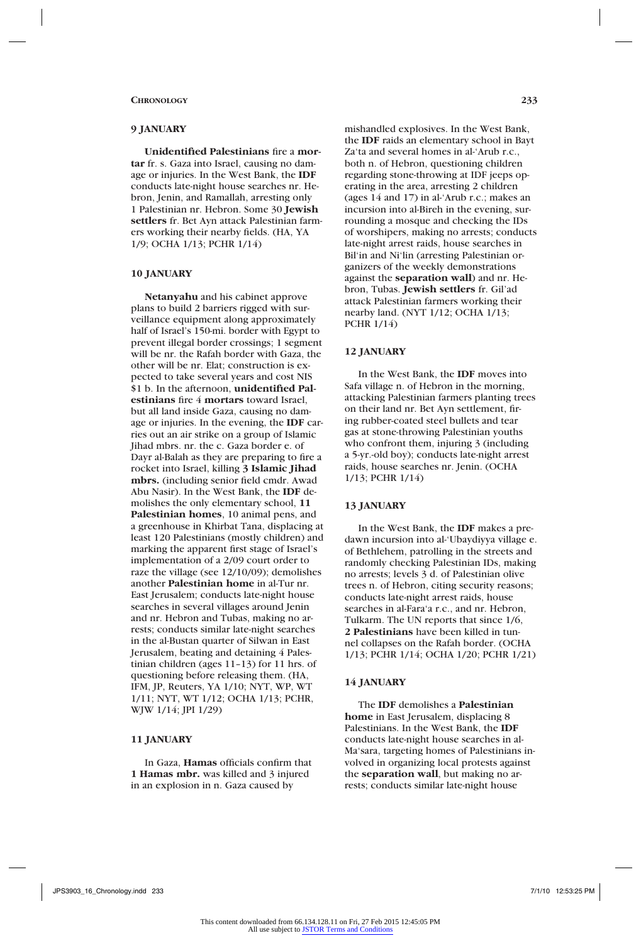# **9 JANUARY**

**Unidentified Palestinians** fire a **mortar** fr. s. Gaza into Israel, causing no damage or injuries. In the West Bank, the **IDF** conducts late-night house searches nr. Hebron, Jenin, and Ramallah, arresting only 1 Palestinian nr. Hebron. Some 30 **Jewish settlers** fr. Bet Ayn attack Palestinian farmers working their nearby fields. (HA, YA 1/9; OCHA 1/13; PCHR 1/14)

# **10 JANUARY**

**Netanyahu** and his cabinet approve plans to build 2 barriers rigged with surveillance equipment along approximately half of Israel's 150-mi. border with Egypt to prevent illegal border crossings; 1 segment will be nr. the Rafah border with Gaza, the other will be nr. Elat; construction is expected to take several years and cost NIS \$1 b. In the afternoon, **unidentified Palestinians** fire 4 **mortars** toward Israel, but all land inside Gaza, causing no damage or injuries. In the evening, the **IDF** carries out an air strike on a group of Islamic Jihad mbrs. nr. the c. Gaza border e. of Dayr al-Balah as they are preparing to fire a rocket into Israel, killing **3 Islamic Jihad mbrs.** (including senior field cmdr. Awad Abu Nasir). In the West Bank, the **IDF** demolishes the only elementary school, **11 Palestinian homes**, 10 animal pens, and a greenhouse in Khirbat Tana, displacing at least 120 Palestinians (mostly children) and marking the apparent first stage of Israel's implementation of a 2/09 court order to raze the village (see 12/10/09); demolishes another **Palestinian home** in al-Tur nr. East Jerusalem; conducts late-night house searches in several villages around Jenin and nr. Hebron and Tubas, making no arrests; conducts similar late-night searches in the al-Bustan quarter of Silwan in East Jerusalem, beating and detaining 4 Palestinian children (ages 11–13) for 11 hrs. of questioning before releasing them. (HA, IFM, JP, Reuters, YA 1/10; NYT, WP, WT 1/11; NYT, WT 1/12; OCHA 1/13; PCHR, WJW 1/14; JPI 1/29)

# **11 JANUARY**

In Gaza, **Hamas** officials confirm that **1 Hamas mbr.** was killed and 3 injured in an explosion in n. Gaza caused by

mishandled explosives. In the West Bank, the **IDF** raids an elementary school in Bayt Za'ta and several homes in al-'Arub r.c., both n. of Hebron, questioning children regarding stone-throwing at IDF jeeps operating in the area, arresting 2 children (ages 14 and 17) in al-'Arub r.c.; makes an incursion into al-Bireh in the evening, surrounding a mosque and checking the IDs of worshipers, making no arrests; conducts late-night arrest raids, house searches in Bil'in and Ni'lin (arresting Palestinian organizers of the weekly demonstrations against the **separation wall**) and nr. Hebron, Tubas. **Jewish settlers** fr. Gil'ad attack Palestinian farmers working their nearby land. (NYT 1/12; OCHA 1/13; PCHR 1/14)

#### **12 JANUARY**

In the West Bank, the **IDF** moves into Safa village n. of Hebron in the morning, attacking Palestinian farmers planting trees on their land nr. Bet Ayn settlement, firing rubber-coated steel bullets and tear gas at stone-throwing Palestinian youths who confront them, injuring 3 (including a 5-yr.-old boy); conducts late-night arrest raids, house searches nr. Jenin. (OCHA 1/13; PCHR 1/14)

# **13 JANUARY**

In the West Bank, the **IDF** makes a predawn incursion into al-'Ubaydiyya village e. of Bethlehem, patrolling in the streets and randomly checking Palestinian IDs, making no arrests; levels 3 d. of Palestinian olive trees n. of Hebron, citing security reasons; conducts late-night arrest raids, house searches in al-Fara'a r.c., and nr. Hebron, Tulkarm. The UN reports that since 1/6, **2 Palestinians** have been killed in tunnel collapses on the Rafah border. (OCHA 1/13; PCHR 1/14; OCHA 1/20; PCHR 1/21)

# **14 JANUARY**

The **IDF** demolishes a **Palestinian home** in East Jerusalem, displacing 8 Palestinians. In the West Bank, the **IDF** conducts late-night house searches in al-Ma'sara, targeting homes of Palestinians involved in organizing local protests against the **separation wall**, but making no arrests; conducts similar late-night house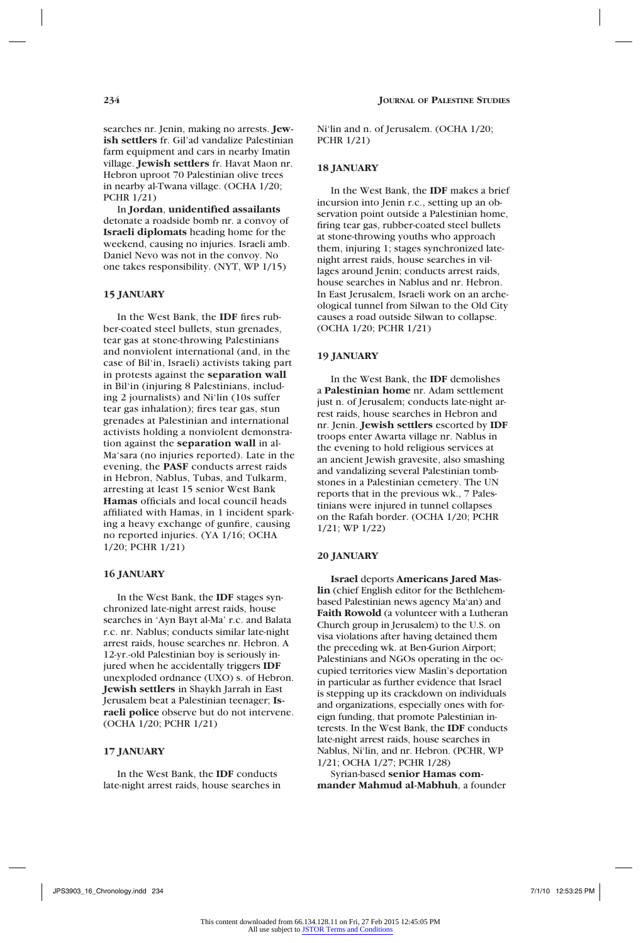searches nr. Jenin, making no arrests. **Jewish settlers** fr. Gil'ad vandalize Palestinian farm equipment and cars in nearby Imatin village. **Jewish settlers** fr. Havat Maon nr. Hebron uproot 70 Palestinian olive trees in nearby al-Twana village. (OCHA 1/20; PCHR 1/21)

In **Jordan**, **unidentified assailants**  detonate a roadside bomb nr. a convoy of **Israeli diplomats** heading home for the weekend, causing no injuries. Israeli amb. Daniel Nevo was not in the convoy. No one takes responsibility. (NYT, WP 1/15)

# **15 JANUARY**

In the West Bank, the **IDF** fires rubber-coated steel bullets, stun grenades, tear gas at stone-throwing Palestinians and nonviolent international (and, in the case of Bil'in, Israeli) activists taking part in protests against the **separation wall** in Bil'in (injuring 8 Palestinians, including 2 journalists) and Ni'lin (10s suffer tear gas inhalation); fires tear gas, stun grenades at Palestinian and international activists holding a nonviolent demonstration against the **separation wall** in al-Ma'sara (no injuries reported). Late in the evening, the **PASF** conducts arrest raids in Hebron, Nablus, Tubas, and Tulkarm, arresting at least 15 senior West Bank **Hamas** officials and local council heads affiliated with Hamas, in 1 incident sparking a heavy exchange of gunfire, causing no reported injuries. (YA 1/16; OCHA 1/20; PCHR 1/21)

### **16 JANUARY**

In the West Bank, the **IDF** stages synchronized late-night arrest raids, house searches in 'Ayn Bayt al-Ma' r.c. and Balata r.c. nr. Nablus; conducts similar late-night arrest raids, house searches nr. Hebron. A 12-yr.-old Palestinian boy is seriously injured when he accidentally triggers **IDF** unexploded ordnance (UXO) s. of Hebron. **Jewish settlers** in Shaykh Jarrah in East Jerusalem beat a Palestinian teenager; **Israeli police** observe but do not intervene. (OCHA 1/20; PCHR 1/21)

# **17 JANUARY**

In the West Bank, the **IDF** conducts late-night arrest raids, house searches in Ni'lin and n. of Jerusalem. (OCHA 1/20; PCHR 1/21)

# **18 JANUARY**

In the West Bank, the **IDF** makes a brief incursion into Jenin r.c., setting up an observation point outside a Palestinian home, firing tear gas, rubber-coated steel bullets at stone-throwing youths who approach them, injuring 1; stages synchronized latenight arrest raids, house searches in villages around Jenin; conducts arrest raids, house searches in Nablus and nr. Hebron. In East Jerusalem, Israeli work on an archeological tunnel from Silwan to the Old City causes a road outside Silwan to collapse. (OCHA 1/20; PCHR 1/21)

#### **19 JANUARY**

In the West Bank, the **IDF** demolishes a **Palestinian home** nr. Adam settlement just n. of Jerusalem; conducts late-night arrest raids, house searches in Hebron and nr. Jenin. **Jewish settlers** escorted by **IDF** troops enter Awarta village nr. Nablus in the evening to hold religious services at an ancient Jewish gravesite, also smashing and vandalizing several Palestinian tombstones in a Palestinian cemetery. The UN reports that in the previous wk., 7 Palestinians were injured in tunnel collapses on the Rafah border. (OCHA 1/20; PCHR 1/21; WP 1/22)

### **20 JANUARY**

**Israel** deports **Americans Jared Maslin** (chief English editor for the Bethlehembased Palestinian news agency Ma'an) and **Faith Rowold** (a volunteer with a Lutheran Church group in Jerusalem) to the U.S. on visa violations after having detained them the preceding wk. at Ben-Gurion Airport; Palestinians and NGOs operating in the occupied territories view Maslin's deportation in particular as further evidence that Israel is stepping up its crackdown on individuals and organizations, especially ones with foreign funding, that promote Palestinian interests. In the West Bank, the **IDF** conducts late-night arrest raids, house searches in Nablus, Ni'lin, and nr. Hebron. (PCHR, WP 1/21; OCHA 1/27; PCHR 1/28)

Syrian-based **senior Hamas commander Mahmud al-Mabhuh**, a founder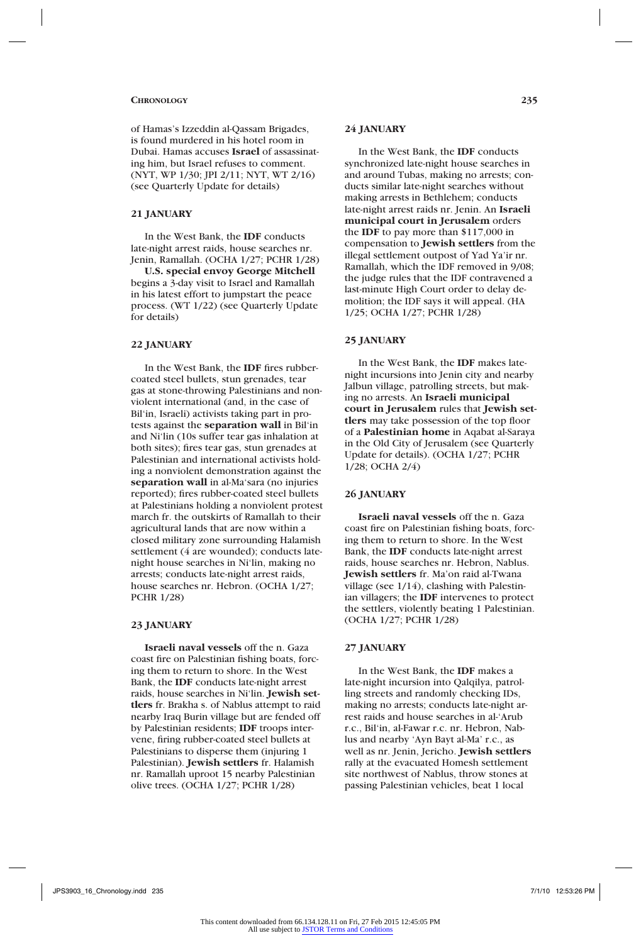of Hamas's Izzeddin al-Qassam Brigades, is found murdered in his hotel room in Dubai. Hamas accuses **Israel** of assassinating him, but Israel refuses to comment. (NYT, WP 1/30; JPI 2/11; NYT, WT 2/16) (see Quarterly Update for details)

# **21 JANUARY**

In the West Bank, the **IDF** conducts late-night arrest raids, house searches nr. Jenin, Ramallah. (OCHA 1/27; PCHR 1/28)

**U.S. special envoy George Mitchell** begins a 3-day visit to Israel and Ramallah in his latest effort to jumpstart the peace process. (WT 1/22) (see Quarterly Update for details)

# **22 JANUARY**

In the West Bank, the **IDF** fires rubbercoated steel bullets, stun grenades, tear gas at stone-throwing Palestinians and nonviolent international (and, in the case of Bil'in, Israeli) activists taking part in protests against the **separation wall** in Bil'in and Ni'lin (10s suffer tear gas inhalation at both sites); fires tear gas, stun grenades at Palestinian and international activists holding a nonviolent demonstration against the **separation wall** in al-Ma'sara (no injuries reported); fires rubber-coated steel bullets at Palestinians holding a nonviolent protest march fr. the outskirts of Ramallah to their agricultural lands that are now within a closed military zone surrounding Halamish settlement (4 are wounded); conducts latenight house searches in Ni'lin, making no arrests; conducts late-night arrest raids, house searches nr. Hebron. (OCHA 1/27; PCHR 1/28)

# **23 JANUARY**

**Israeli naval vessels** off the n. Gaza coast fire on Palestinian fishing boats, forcing them to return to shore. In the West Bank, the **IDF** conducts late-night arrest raids, house searches in Ni'lin. **Jewish settlers** fr. Brakha s. of Nablus attempt to raid nearby Iraq Burin village but are fended off by Palestinian residents; **IDF** troops intervene, firing rubber-coated steel bullets at Palestinians to disperse them (injuring 1 Palestinian). **Jewish settlers** fr. Halamish nr. Ramallah uproot 15 nearby Palestinian olive trees. (OCHA 1/27; PCHR 1/28)

# **24 JANUARY**

In the West Bank, the **IDF** conducts synchronized late-night house searches in and around Tubas, making no arrests; conducts similar late-night searches without making arrests in Bethlehem; conducts late-night arrest raids nr. Jenin. An **Israeli municipal court in Jerusalem** orders the **IDF** to pay more than \$117,000 in compensation to **Jewish settlers** from the illegal settlement outpost of Yad Ya'ir nr. Ramallah, which the IDF removed in 9/08; the judge rules that the IDF contravened a last-minute High Court order to delay demolition; the IDF says it will appeal. (HA 1/25; OCHA 1/27; PCHR 1/28)

# **25 JANUARY**

In the West Bank, the **IDF** makes latenight incursions into Jenin city and nearby Jalbun village, patrolling streets, but making no arrests. An **Israeli municipal court in Jerusalem** rules that **Jewish settlers** may take possession of the top floor of a **Palestinian home** in Aqabat al-Saraya in the Old City of Jerusalem (see Quarterly Update for details). (OCHA 1/27; PCHR 1/28; OCHA 2/4)

# **26 JANUARY**

**Israeli naval vessels** off the n. Gaza coast fire on Palestinian fishing boats, forcing them to return to shore. In the West Bank, the **IDF** conducts late-night arrest raids, house searches nr. Hebron, Nablus. **Jewish settlers** fr. Ma'on raid al-Twana village (see 1/14), clashing with Palestinian villagers; the **IDF** intervenes to protect the settlers, violently beating 1 Palestinian. (OCHA 1/27; PCHR 1/28)

### **27 JANUARY**

In the West Bank, the **IDF** makes a late-night incursion into Qalqilya, patrolling streets and randomly checking IDs, making no arrests; conducts late-night arrest raids and house searches in al-'Arub r.c., Bil'in, al-Fawar r.c. nr. Hebron, Nablus and nearby 'Ayn Bayt al-Ma' r.c., as well as nr. Jenin, Jericho. **Jewish settlers**  rally at the evacuated Homesh settlement site northwest of Nablus, throw stones at passing Palestinian vehicles, beat 1 local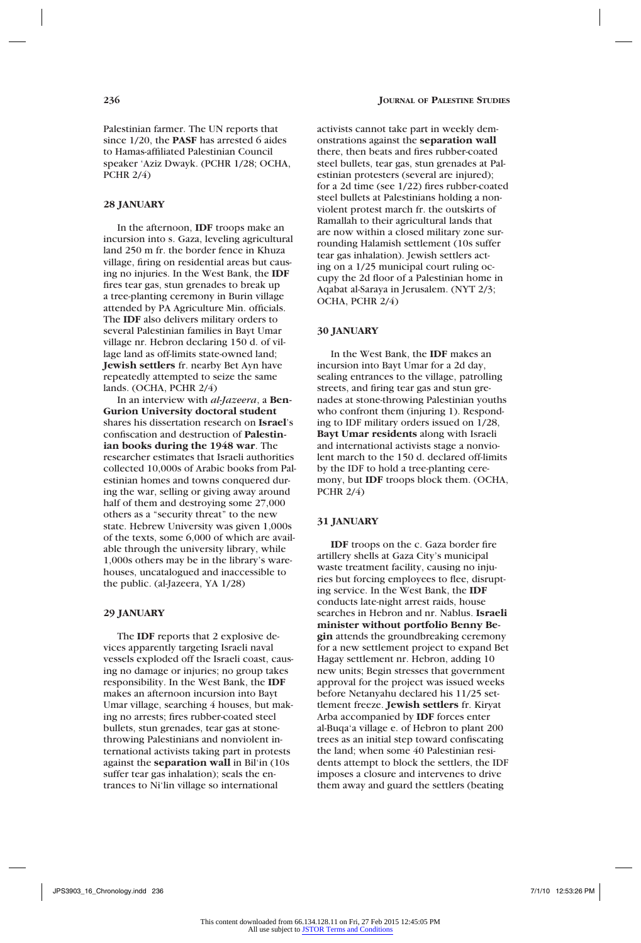Palestinian farmer. The UN reports that since 1/20, the **PASF** has arrested 6 aides to Hamas-affiliated Palestinian Council speaker 'Aziz Dwayk. (PCHR 1/28; OCHA, PCHR 2/4)

#### **28 JANUARY**

In the afternoon, **IDF** troops make an incursion into s. Gaza, leveling agricultural land 250 m fr. the border fence in Khuza village, firing on residential areas but causing no injuries. In the West Bank, the **IDF** fires tear gas, stun grenades to break up a tree-planting ceremony in Burin village attended by PA Agriculture Min. officials. The **IDF** also delivers military orders to several Palestinian families in Bayt Umar village nr. Hebron declaring 150 d. of village land as off-limits state-owned land; **Jewish settlers** fr. nearby Bet Ayn have repeatedly attempted to seize the same lands. (OCHA, PCHR 2/4)

In an interview with *al-Jazeera*, a **Ben-Gurion University doctoral student** shares his dissertation research on **Israel**'s confiscation and destruction of **Palestinian books during the 1948 war**. The researcher estimates that Israeli authorities collected 10,000s of Arabic books from Palestinian homes and towns conquered during the war, selling or giving away around half of them and destroying some 27,000 others as a "security threat" to the new state. Hebrew University was given 1,000s of the texts, some 6,000 of which are available through the university library, while 1,000s others may be in the library's warehouses, uncatalogued and inaccessible to the public. (al-Jazeera, YA 1/28)

# **29 JANUARY**

The **IDF** reports that 2 explosive devices apparently targeting Israeli naval vessels exploded off the Israeli coast, causing no damage or injuries; no group takes responsibility. In the West Bank, the **IDF** makes an afternoon incursion into Bayt Umar village, searching 4 houses, but making no arrests; fires rubber-coated steel bullets, stun grenades, tear gas at stonethrowing Palestinians and nonviolent international activists taking part in protests against the **separation wall** in Bil'in (10s suffer tear gas inhalation); seals the entrances to Ni'lin village so international

activists cannot take part in weekly demonstrations against the **separation wall**  there, then beats and fires rubber-coated steel bullets, tear gas, stun grenades at Palestinian protesters (several are injured); for a 2d time (see 1/22) fires rubber-coated steel bullets at Palestinians holding a nonviolent protest march fr. the outskirts of Ramallah to their agricultural lands that are now within a closed military zone surrounding Halamish settlement (10s suffer tear gas inhalation). Jewish settlers acting on a 1/25 municipal court ruling occupy the 2d floor of a Palestinian home in Aqabat al-Saraya in Jerusalem. (NYT 2/3; OCHA, PCHR 2/4)

### **30 JANUARY**

In the West Bank, the **IDF** makes an incursion into Bayt Umar for a 2d day, sealing entrances to the village, patrolling streets, and firing tear gas and stun grenades at stone-throwing Palestinian youths who confront them (injuring 1). Responding to IDF military orders issued on 1/28, **Bayt Umar residents** along with Israeli and international activists stage a nonviolent march to the 150 d. declared off-limits by the IDF to hold a tree-planting ceremony, but **IDF** troops block them. (OCHA, PCHR 2/4)

#### **31 JANUARY**

**IDF** troops on the c. Gaza border fire artillery shells at Gaza City's municipal waste treatment facility, causing no injuries but forcing employees to flee, disrupting service. In the West Bank, the **IDF**  conducts late-night arrest raids, house searches in Hebron and nr. Nablus. **Israeli minister without portfolio Benny Begin** attends the groundbreaking ceremony for a new settlement project to expand Bet Hagay settlement nr. Hebron, adding 10 new units; Begin stresses that government approval for the project was issued weeks before Netanyahu declared his 11/25 settlement freeze. **Jewish settlers** fr. Kiryat Arba accompanied by **IDF** forces enter al-Buqa'a village e. of Hebron to plant 200 trees as an initial step toward confiscating the land; when some 40 Palestinian residents attempt to block the settlers, the IDF imposes a closure and intervenes to drive them away and guard the settlers (beating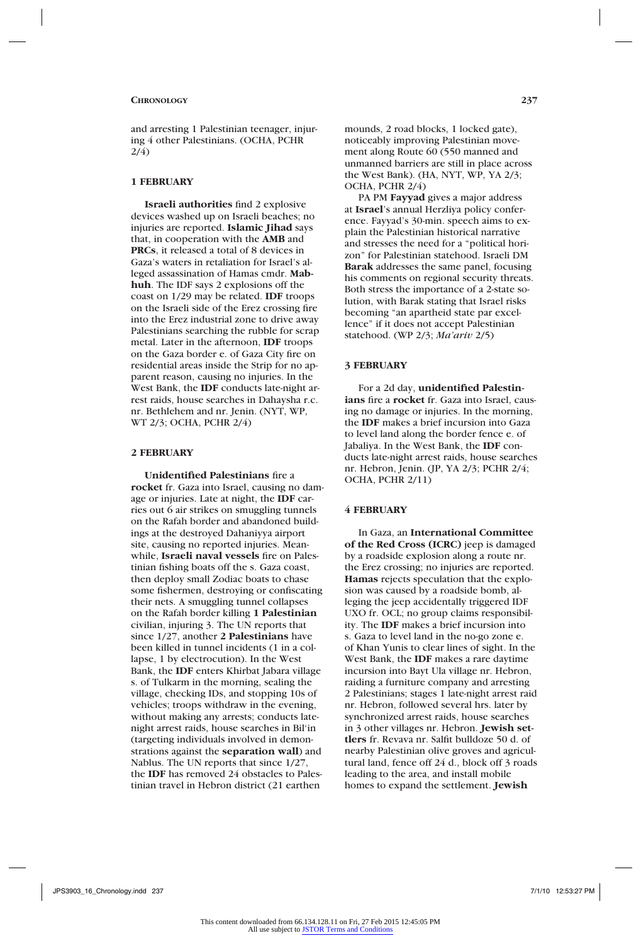and arresting 1 Palestinian teenager, injuring 4 other Palestinians. (OCHA, PCHR  $2/4$ )

#### **1 FEBRUARY**

**Israeli authorities** find 2 explosive devices washed up on Israeli beaches; no injuries are reported. **Islamic Jihad** says that, in cooperation with the **AMB** and **PRCs**, it released a total of 8 devices in Gaza's waters in retaliation for Israel's alleged assassination of Hamas cmdr. **Mabhuh**. The IDF says 2 explosions off the coast on 1/29 may be related. **IDF** troops on the Israeli side of the Erez crossing fire into the Erez industrial zone to drive away Palestinians searching the rubble for scrap metal. Later in the afternoon, **IDF** troops on the Gaza border e. of Gaza City fire on residential areas inside the Strip for no apparent reason, causing no injuries. In the West Bank, the **IDF** conducts late-night arrest raids, house searches in Dahaysha r.c. nr. Bethlehem and nr. Jenin. (NYT, WP, WT 2/3; OCHA, PCHR 2/4)

#### **2 FEBRUARY**

**Unidentified Palestinians** fire a **rocket** fr. Gaza into Israel, causing no damage or injuries. Late at night, the **IDF** carries out 6 air strikes on smuggling tunnels on the Rafah border and abandoned buildings at the destroyed Dahaniyya airport site, causing no reported injuries. Meanwhile, **Israeli naval vessels** fire on Palestinian fishing boats off the s. Gaza coast, then deploy small Zodiac boats to chase some fishermen, destroying or confiscating their nets. A smuggling tunnel collapses on the Rafah border killing **1 Palestinian**  civilian, injuring 3. The UN reports that since 1/27, another **2 Palestinians** have been killed in tunnel incidents (1 in a collapse, 1 by electrocution). In the West Bank, the **IDF** enters Khirbat Jabara village s. of Tulkarm in the morning, sealing the village, checking IDs, and stopping 10s of vehicles; troops withdraw in the evening, without making any arrests; conducts latenight arrest raids, house searches in Bil'in (targeting individuals involved in demonstrations against the **separation wall**) and Nablus. The UN reports that since 1/27, the **IDF** has removed 24 obstacles to Palestinian travel in Hebron district (21 earthen

mounds, 2 road blocks, 1 locked gate), noticeably improving Palestinian movement along Route 60 (550 manned and unmanned barriers are still in place across the West Bank). (HA, NYT, WP, YA 2/3; OCHA, PCHR 2/4)

PA PM **Fayyad** gives a major address at **Israel**'s annual Herzliya policy conference. Fayyad's 30-min. speech aims to explain the Palestinian historical narrative and stresses the need for a "political horizon" for Palestinian statehood. Israeli DM **Barak** addresses the same panel, focusing his comments on regional security threats. Both stress the importance of a 2-state solution, with Barak stating that Israel risks becoming "an apartheid state par excellence" if it does not accept Palestinian statehood. (WP 2/3; *Ma'ariv* 2/5)

#### **3 FEBRUARY**

For a 2d day, **unidentified Palestinians** fire a **rocket** fr. Gaza into Israel, causing no damage or injuries. In the morning, the **IDF** makes a brief incursion into Gaza to level land along the border fence e. of Jabaliya. In the West Bank, the **IDF** conducts late-night arrest raids, house searches nr. Hebron, Jenin. (JP, YA 2/3; PCHR 2/4; OCHA, PCHR 2/11)

#### **4 FEBRUARY**

In Gaza, an **International Committee of the Red Cross (ICRC)** jeep is damaged by a roadside explosion along a route nr. the Erez crossing; no injuries are reported. **Hamas** rejects speculation that the explosion was caused by a roadside bomb, alleging the jeep accidentally triggered IDF UXO fr. OCL; no group claims responsibility. The **IDF** makes a brief incursion into s. Gaza to level land in the no-go zone e. of Khan Yunis to clear lines of sight. In the West Bank, the **IDF** makes a rare daytime incursion into Bayt Ula village nr. Hebron, raiding a furniture company and arresting 2 Palestinians; stages 1 late-night arrest raid nr. Hebron, followed several hrs. later by synchronized arrest raids, house searches in 3 other villages nr. Hebron. **Jewish settlers** fr. Revava nr. Salfit bulldoze 50 d. of nearby Palestinian olive groves and agricultural land, fence off 24 d., block off 3 roads leading to the area, and install mobile homes to expand the settlement. **Jewish**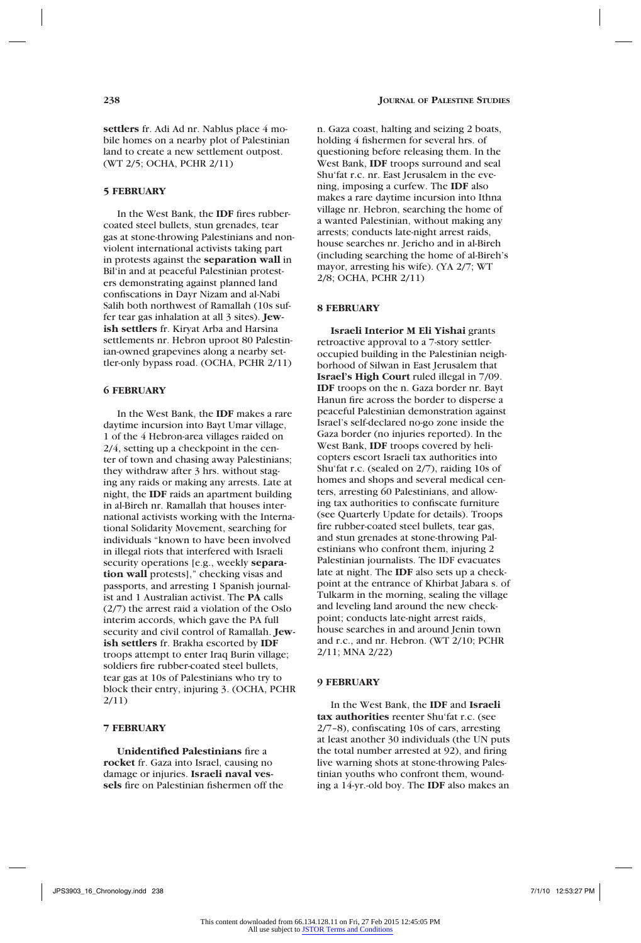**settlers** fr. Adi Ad nr. Nablus place 4 mobile homes on a nearby plot of Palestinian land to create a new settlement outpost. (WT 2/5; OCHA, PCHR 2/11)

#### **5 FEBRUARY**

In the West Bank, the **IDF** fires rubbercoated steel bullets, stun grenades, tear gas at stone-throwing Palestinians and nonviolent international activists taking part in protests against the **separation wall** in Bil'in and at peaceful Palestinian protesters demonstrating against planned land confiscations in Dayr Nizam and al-Nabi Salih both northwest of Ramallah (10s suffer tear gas inhalation at all 3 sites). **Jewish settlers** fr. Kiryat Arba and Harsina settlements nr. Hebron uproot 80 Palestinian-owned grapevines along a nearby settler-only bypass road. (OCHA, PCHR 2/11)

# **6 FEBRUARY**

In the West Bank, the **IDF** makes a rare daytime incursion into Bayt Umar village, 1 of the 4 Hebron-area villages raided on 2/4, setting up a checkpoint in the center of town and chasing away Palestinians; they withdraw after 3 hrs. without staging any raids or making any arrests. Late at night, the **IDF** raids an apartment building in al-Bireh nr. Ramallah that houses international activists working with the International Solidarity Movement, searching for individuals "known to have been involved in illegal riots that interfered with Israeli security operations [e.g., weekly **separation wall** protests]," checking visas and passports, and arresting 1 Spanish journalist and 1 Australian activist. The **PA** calls (2/7) the arrest raid a violation of the Oslo interim accords, which gave the PA full security and civil control of Ramallah. **Jewish settlers** fr. Brakha escorted by **IDF** troops attempt to enter Iraq Burin village; soldiers fire rubber-coated steel bullets, tear gas at 10s of Palestinians who try to block their entry, injuring 3. (OCHA, PCHR 2/11)

### **7 FEBRUARY**

**Unidentified Palestinians** fire a **rocket** fr. Gaza into Israel, causing no damage or injuries. **Israeli naval vessels** fire on Palestinian fishermen off the n. Gaza coast, halting and seizing 2 boats, holding 4 fishermen for several hrs. of questioning before releasing them. In the West Bank, **IDF** troops surround and seal Shu'fat r.c. nr. East Jerusalem in the evening, imposing a curfew. The **IDF** also makes a rare daytime incursion into Ithna village nr. Hebron, searching the home of a wanted Palestinian, without making any arrests; conducts late-night arrest raids, house searches nr. Jericho and in al-Bireh (including searching the home of al-Bireh's mayor, arresting his wife). (YA 2/7; WT 2/8; OCHA, PCHR 2/11)

### **8 FEBRUARY**

**Israeli Interior M Eli Yishai** grants retroactive approval to a 7-story settleroccupied building in the Palestinian neighborhood of Silwan in East Jerusalem that **Israel's High Court** ruled illegal in 7/09. **IDF** troops on the n. Gaza border nr. Bayt Hanun fire across the border to disperse a peaceful Palestinian demonstration against Israel's self-declared no-go zone inside the Gaza border (no injuries reported). In the West Bank, **IDF** troops covered by helicopters escort Israeli tax authorities into Shu'fat r.c. (sealed on 2/7), raiding 10s of homes and shops and several medical centers, arresting 60 Palestinians, and allowing tax authorities to confiscate furniture (see Quarterly Update for details). Troops fire rubber-coated steel bullets, tear gas, and stun grenades at stone-throwing Palestinians who confront them, injuring 2 Palestinian journalists. The IDF evacuates late at night. The **IDF** also sets up a checkpoint at the entrance of Khirbat Jabara s. of Tulkarm in the morning, sealing the village and leveling land around the new checkpoint; conducts late-night arrest raids, house searches in and around Jenin town and r.c., and nr. Hebron. (WT 2/10; PCHR 2/11; MNA 2/22)

#### **9 FEBRUARY**

In the West Bank, the **IDF** and **Israeli tax authorities** reenter Shu'fat r.c. (see 2/7–8), confiscating 10s of cars, arresting at least another 30 individuals (the UN puts the total number arrested at 92), and firing live warning shots at stone-throwing Palestinian youths who confront them, wounding a 14-yr.-old boy. The **IDF** also makes an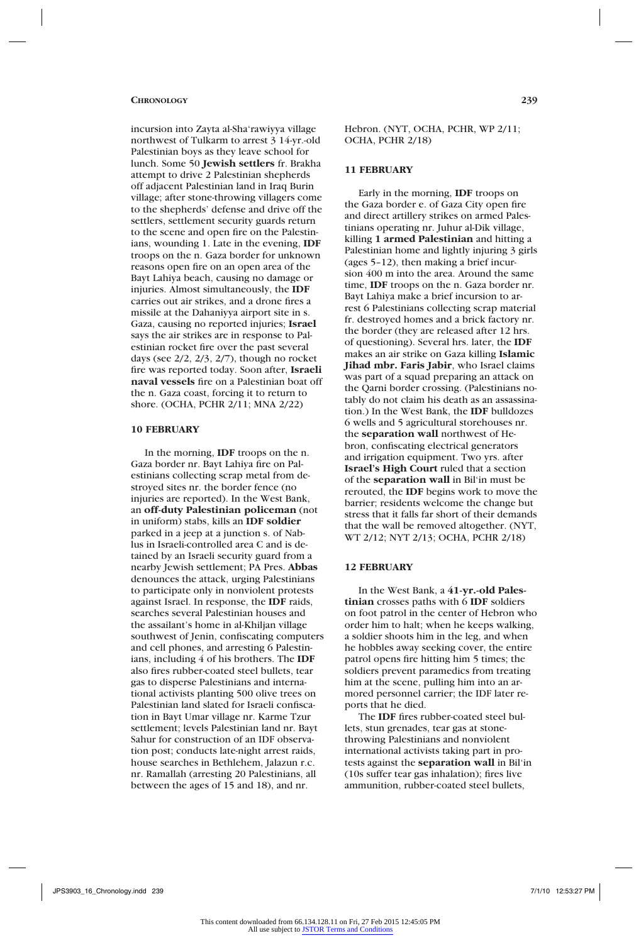incursion into Zayta al-Sha'rawiyya village northwest of Tulkarm to arrest 3 14-yr.-old Palestinian boys as they leave school for lunch. Some 50 **Jewish settlers** fr. Brakha attempt to drive 2 Palestinian shepherds off adjacent Palestinian land in Iraq Burin village; after stone-throwing villagers come to the shepherds' defense and drive off the settlers, settlement security guards return to the scene and open fire on the Palestinians, wounding 1. Late in the evening, **IDF**  troops on the n. Gaza border for unknown reasons open fire on an open area of the Bayt Lahiya beach, causing no damage or injuries. Almost simultaneously, the **IDF** carries out air strikes, and a drone fires a missile at the Dahaniyya airport site in s. Gaza, causing no reported injuries; **Israel** says the air strikes are in response to Palestinian rocket fire over the past several days (see  $2/2$ ,  $2/3$ ,  $2/7$ ), though no rocket fire was reported today. Soon after, **Israeli naval vessels** fire on a Palestinian boat off the n. Gaza coast, forcing it to return to shore. (OCHA, PCHR 2/11; MNA 2/22)

### **10 FEBRUARY**

In the morning, **IDF** troops on the n. Gaza border nr. Bayt Lahiya fire on Palestinians collecting scrap metal from destroyed sites nr. the border fence (no injuries are reported). In the West Bank, an **off-duty Palestinian policeman** (not in uniform) stabs, kills an **IDF soldier** parked in a jeep at a junction s. of Nablus in Israeli-controlled area C and is detained by an Israeli security guard from a nearby Jewish settlement; PA Pres. **Abbas** denounces the attack, urging Palestinians to participate only in nonviolent protests against Israel. In response, the **IDF** raids, searches several Palestinian houses and the assailant's home in al-Khiljan village southwest of Jenin, confiscating computers and cell phones, and arresting 6 Palestinians, including 4 of his brothers. The **IDF** also fires rubber-coated steel bullets, tear gas to disperse Palestinians and international activists planting 500 olive trees on Palestinian land slated for Israeli confiscation in Bayt Umar village nr. Karme Tzur settlement; levels Palestinian land nr. Bayt Sahur for construction of an IDF observation post; conducts late-night arrest raids, house searches in Bethlehem, Jalazun r.c. nr. Ramallah (arresting 20 Palestinians, all between the ages of 15 and 18), and nr.

Hebron. (NYT, OCHA, PCHR, WP 2/11; OCHA, PCHR 2/18)

### **11 FEBRUARY**

Early in the morning, **IDF** troops on the Gaza border e. of Gaza City open fire and direct artillery strikes on armed Palestinians operating nr. Juhur al-Dik village, killing **1 armed Palestinian** and hitting a Palestinian home and lightly injuring 3 girls (ages 5–12), then making a brief incursion 400 m into the area. Around the same time, **IDF** troops on the n. Gaza border nr. Bayt Lahiya make a brief incursion to arrest 6 Palestinians collecting scrap material fr. destroyed homes and a brick factory nr. the border (they are released after 12 hrs. of questioning). Several hrs. later, the **IDF** makes an air strike on Gaza killing **Islamic Jihad mbr. Faris Jabir**, who Israel claims was part of a squad preparing an attack on the Qarni border crossing. (Palestinians notably do not claim his death as an assassination.) In the West Bank, the **IDF** bulldozes 6 wells and 5 agricultural storehouses nr. the **separation wall** northwest of Hebron, confiscating electrical generators and irrigation equipment. Two yrs. after **Israel's High Court** ruled that a section of the **separation wall** in Bil'in must be rerouted, the **IDF** begins work to move the barrier; residents welcome the change but stress that it falls far short of their demands that the wall be removed altogether. (NYT, WT 2/12; NYT 2/13; OCHA, PCHR 2/18)

#### **12 FEBRUARY**

In the West Bank, a **41-yr.-old Palestinian** crosses paths with 6 **IDF** soldiers on foot patrol in the center of Hebron who order him to halt; when he keeps walking, a soldier shoots him in the leg, and when he hobbles away seeking cover, the entire patrol opens fire hitting him 5 times; the soldiers prevent paramedics from treating him at the scene, pulling him into an armored personnel carrier; the IDF later reports that he died.

The **IDF** fires rubber-coated steel bullets, stun grenades, tear gas at stonethrowing Palestinians and nonviolent international activists taking part in protests against the **separation wall** in Bil'in (10s suffer tear gas inhalation); fires live ammunition, rubber-coated steel bullets,